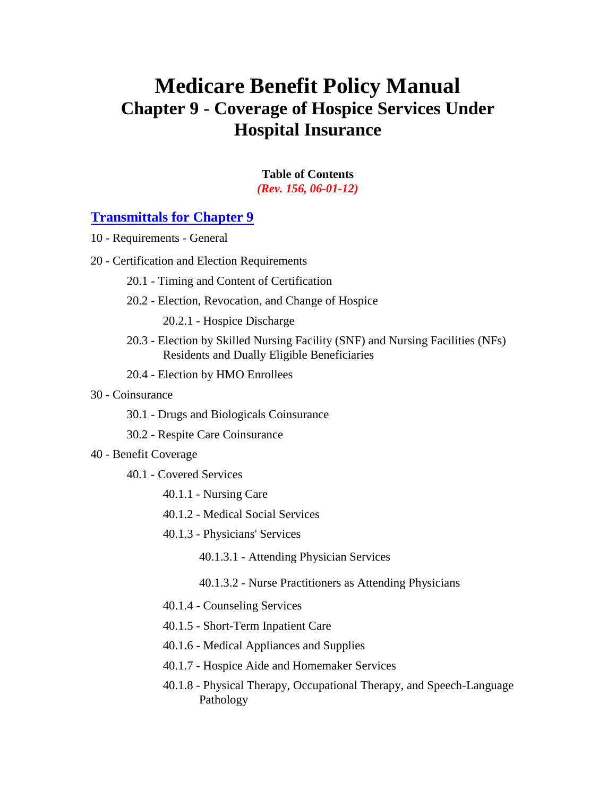# <span id="page-0-0"></span>**Medicare Benefit Policy Manual Chapter 9 - Coverage of Hospice Services Under Hospital Insurance**

#### **Table of Contents** *(Rev. 156, 06-01-12)*

#### **[Transmittals for Chapter 9](#page-45-0)**

- 10 [Requirements -](#page-2-0) General
- 20 [Certification and Election Requirements](#page-2-0)
	- 20.1 [Timing and Content of Certification](#page-3-0)
	- 20.2 [Election, Revocation, and Change of Hospice](#page-6-0)

20.2.1 - [Hospice Discharge](#page-7-0)

- 20.3 [Election by Skilled Nursing Facility \(SNF\) and Nursing Facilities \(NFs\)](#page-8-0)  [Residents and Dually Eligible Beneficiaries](#page-8-0)
- 20.4 [Election by HMO Enrollees](#page-9-0)
- 30 [Coinsurance](#page-9-1)
	- 30.1 [Drugs and Biologicals Coinsurance](#page-9-2)
	- 30.2 [Respite Care Coinsurance](#page-9-3)

#### 40 - [Benefit Coverage](#page-10-0)

- 40.1 [Covered Services](#page-11-0)
	- 40.1.1 [Nursing Care](#page-11-1)
	- 40.1.2 [Medical Social Services](#page-12-0)
	- 40.1.3 [Physicians' Services](#page-12-1)

40.1.3.1 - [Attending Physician Services](#page-13-0)

40.1.3.2 - [Nurse Practitioners as Attending Physicians](#page-13-1)

- 40.1.4 [Counseling Services](#page-13-2)
- 40.1.5 [Short-Term Inpatient Care](#page-14-0)
- 40.1.6 [Medical Appliances and Supplies](#page-15-0)
- 40.1.7 [Hospice Aide and Homemaker Services](#page-15-1)
- 40.1.8 [Physical Therapy, Occupational Therapy, and Speech-Language](#page-15-2)  [Pathology](#page-15-2)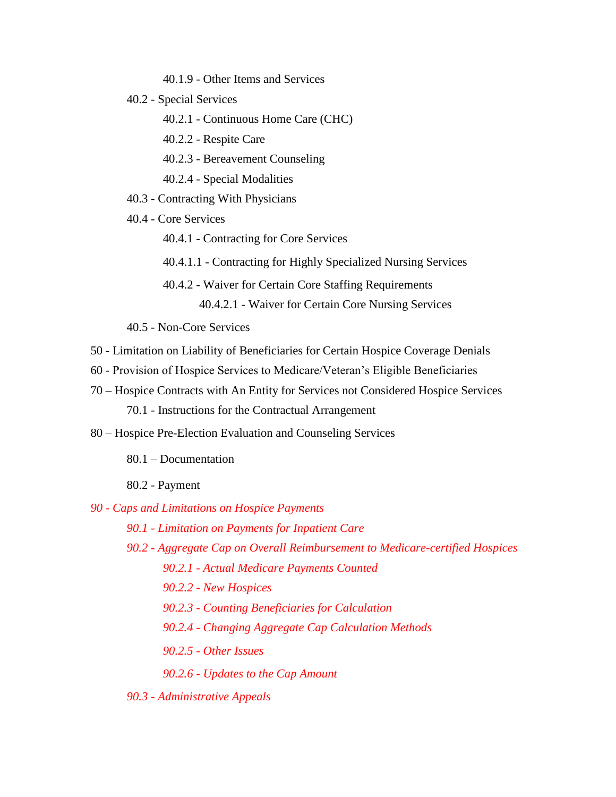40.1.9 - [Other Items and Services](#page-16-0)

40.2 - [Special Services](#page-16-1)

40.2.1 - [Continuous Home Care \(CHC\)](#page-16-2)

40.2.2 - [Respite Care](#page-20-0)

40.2.3 - [Bereavement Counseling](#page-20-1)

40.2.4 - [Special Modalities](#page-20-2)

40.3 - [Contracting With Physicians](#page-21-0)

40.4 - [Core Services](#page-21-1)

40.4.1 - [Contracting for Core Services](#page-21-2)

40.4.1.1 - [Contracting for Highly Specialized Nursing Services](#page-22-0)

40.4.2 - [Waiver for Certain Core Staffing Requirements](#page-22-1)

40.4.2.1 - [Waiver for Certain Core Nursing Services](#page-23-0)

40.5 - [Non-Core Services](#page-24-0)

- 50 [Limitation on Liability of Beneficiaries for Certain Hospice Coverage Denials](#page-25-0)
- 60 [Provision of Hospice Services to Medicare/Veteran's Eligible Beneficiaries](#page-25-1)
- 70 [Hospice Contracts with An Entity for Services not Considered Hospice Services](#page-26-0) 70.1 - [Instructions for the Contractual Arrangement](#page-28-0)
- 80 [Hospice Pre-Election Evaluation and Counseling Services](#page-28-1)
	- 80.1 [Documentation](#page-30-0)

80.2 - [Payment](#page-30-1)

*90 - [Caps and Limitations on Hospice Payments](#page-30-2)*

*90.1 - [Limitation on Payments for Inpatient Care](#page-31-0)*

*90.2 - [Aggregate Cap on Overall Reimbursement to Medicare-certified Hospices](#page-32-0)*

*90.2.1 - [Actual Medicare Payments Counted](#page-33-0)*

*90.2.2 - [New Hospices](#page-34-0)*

*90.2.3 - [Counting Beneficiaries for Calculation](#page-34-1)*

*90.2.4 - [Changing Aggregate Cap Calculation Methods](#page-41-0)*

*90.2.5 - [Other Issues](#page-42-0)*

*90.2.6 - [Updates to the Cap Amount](#page-42-1)*

*90.3 - [Administrative Appeals](#page-43-0)*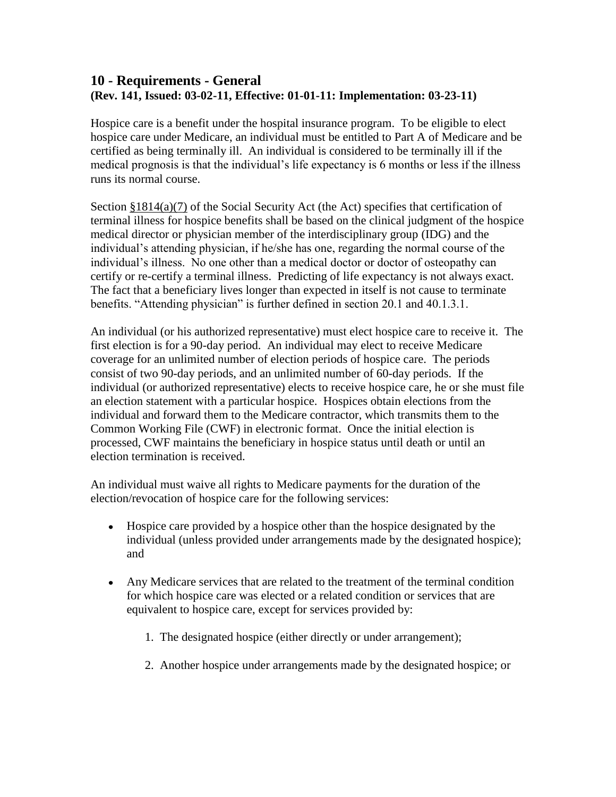## <span id="page-2-0"></span>**10 - Requirements - General (Rev. 141, Issued: 03-02-11, Effective: 01-01-11: Implementation: 03-23-11)**

Hospice care is a benefit under the hospital insurance program. To be eligible to elect hospice care under Medicare, an individual must be entitled to Part A of Medicare and be certified as being terminally ill. An individual is considered to be terminally ill if the medical prognosis is that the individual's life expectancy is 6 months or less if the illness runs its normal course.

Section [§1814\(a\)\(7\)](http://www.socialsecurity.gov/OP_Home/ssact/title18/1814.htm) of the Social Security Act (the Act) specifies that certification of terminal illness for hospice benefits shall be based on the clinical judgment of the hospice medical director or physician member of the interdisciplinary group (IDG) and the individual's attending physician, if he/she has one, regarding the normal course of the individual's illness. No one other than a medical doctor or doctor of osteopathy can certify or re-certify a terminal illness. Predicting of life expectancy is not always exact. The fact that a beneficiary lives longer than expected in itself is not cause to terminate benefits. "Attending physician" is further defined in section 20.1 and 40.1.3.1.

An individual (or his authorized representative) must elect hospice care to receive it. The first election is for a 90-day period. An individual may elect to receive Medicare coverage for an unlimited number of election periods of hospice care. The periods consist of two 90-day periods, and an unlimited number of 60-day periods. If the individual (or authorized representative) elects to receive hospice care, he or she must file an election statement with a particular hospice. Hospices obtain elections from the individual and forward them to the Medicare contractor, which transmits them to the Common Working File (CWF) in electronic format. Once the initial election is processed, CWF maintains the beneficiary in hospice status until death or until an election termination is received.

An individual must waive all rights to Medicare payments for the duration of the election/revocation of hospice care for the following services:

- Hospice care provided by a hospice other than the hospice designated by the individual (unless provided under arrangements made by the designated hospice); and
- Any Medicare services that are related to the treatment of the terminal condition for which hospice care was elected or a related condition or services that are equivalent to hospice care, except for services provided by:
	- 1. The designated hospice (either directly or under arrangement);
	- 2. Another hospice under arrangements made by the designated hospice; or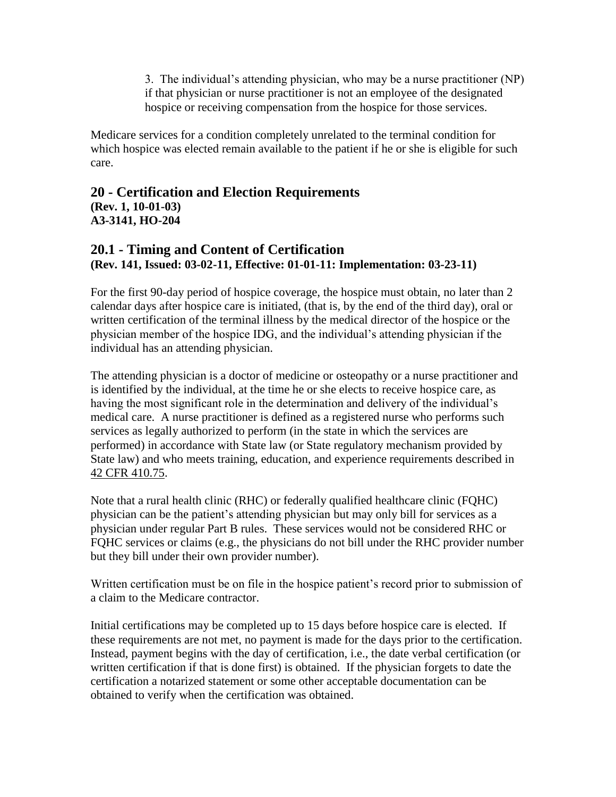3. The individual's attending physician, who may be a nurse practitioner (NP) if that physician or nurse practitioner is not an employee of the designated hospice or receiving compensation from the hospice for those services.

Medicare services for a condition completely unrelated to the terminal condition for which hospice was elected remain available to the patient if he or she is eligible for such care.

#### **20 - Certification and Election Requirements (Rev. 1, 10-01-03)**

**A3-3141, HO-204**

# <span id="page-3-0"></span>**20.1 - Timing and Content of Certification (Rev. 141, Issued: 03-02-11, Effective: 01-01-11: Implementation: 03-23-11)**

For the first 90-day period of hospice coverage, the hospice must obtain, no later than 2 calendar days after hospice care is initiated, (that is, by the end of the third day), oral or written certification of the terminal illness by the medical director of the hospice or the physician member of the hospice IDG, and the individual's attending physician if the individual has an attending physician.

The attending physician is a doctor of medicine or osteopathy or a nurse practitioner and is identified by the individual, at the time he or she elects to receive hospice care, as having the most significant role in the determination and delivery of the individual's medical care. A nurse practitioner is defined as a registered nurse who performs such services as legally authorized to perform (in the state in which the services are performed) in accordance with State law (or State regulatory mechanism provided by State law) and who meets training, education, and experience requirements described in [42 CFR 410.75.](http://ecfr.gpoaccess.gov/cgi/t/text/text-idx?c=ecfr&sid=27785c142bd9ae14a318cd2e23892884&rgn=div8&view=text&node=42:2.0.1.2.10.2.35.56&idno=42)

Note that a rural health clinic (RHC) or federally qualified healthcare clinic (FQHC) physician can be the patient's attending physician but may only bill for services as a physician under regular Part B rules. These services would not be considered RHC or FQHC services or claims (e.g., the physicians do not bill under the RHC provider number but they bill under their own provider number).

Written certification must be on file in the hospice patient's record prior to submission of a claim to the Medicare contractor.

Initial certifications may be completed up to 15 days before hospice care is elected. If these requirements are not met, no payment is made for the days prior to the certification. Instead, payment begins with the day of certification, i.e., the date verbal certification (or written certification if that is done first) is obtained. If the physician forgets to date the certification a notarized statement or some other acceptable documentation can be obtained to verify when the certification was obtained.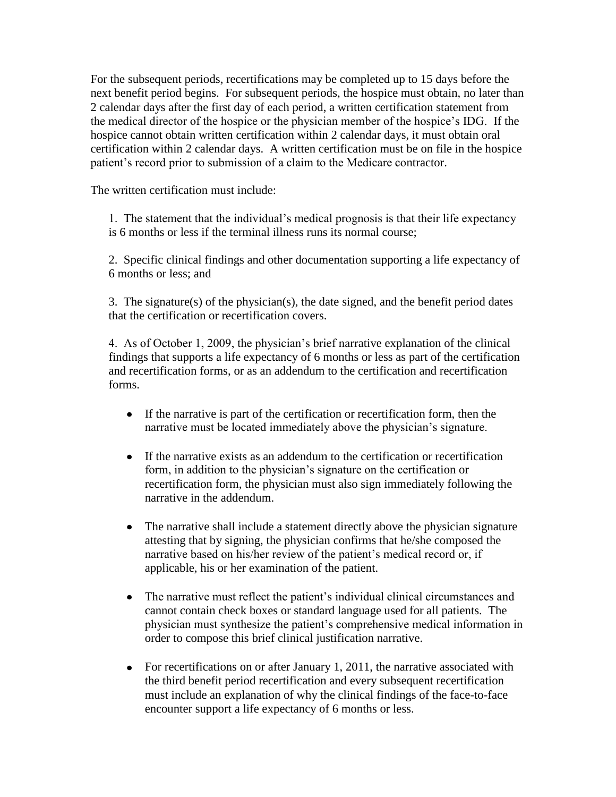For the subsequent periods, recertifications may be completed up to 15 days before the next benefit period begins. For subsequent periods, the hospice must obtain, no later than 2 calendar days after the first day of each period, a written certification statement from the medical director of the hospice or the physician member of the hospice's IDG. If the hospice cannot obtain written certification within 2 calendar days, it must obtain oral certification within 2 calendar days. A written certification must be on file in the hospice patient's record prior to submission of a claim to the Medicare contractor.

The written certification must include:

1. The statement that the individual's medical prognosis is that their life expectancy is 6 months or less if the terminal illness runs its normal course;

2. Specific clinical findings and other documentation supporting a life expectancy of 6 months or less; and

3. The signature(s) of the physician(s), the date signed, and the benefit period dates that the certification or recertification covers.

4. As of October 1, 2009, the physician's brief narrative explanation of the clinical findings that supports a life expectancy of 6 months or less as part of the certification and recertification forms, or as an addendum to the certification and recertification forms.

- If the narrative is part of the certification or recertification form, then the narrative must be located immediately above the physician's signature.
- If the narrative exists as an addendum to the certification or recertification form, in addition to the physician's signature on the certification or recertification form, the physician must also sign immediately following the narrative in the addendum.
- The narrative shall include a statement directly above the physician signature  $\bullet$ attesting that by signing, the physician confirms that he/she composed the narrative based on his/her review of the patient's medical record or, if applicable, his or her examination of the patient.
- $\bullet$ The narrative must reflect the patient's individual clinical circumstances and cannot contain check boxes or standard language used for all patients. The physician must synthesize the patient's comprehensive medical information in order to compose this brief clinical justification narrative.
- $\bullet$ For recertifications on or after January 1, 2011, the narrative associated with the third benefit period recertification and every subsequent recertification must include an explanation of why the clinical findings of the face-to-face encounter support a life expectancy of 6 months or less.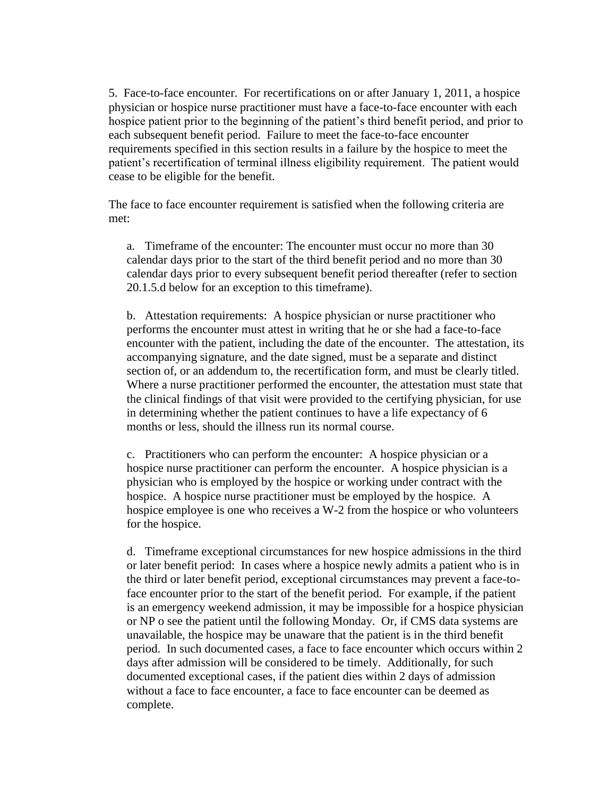5. Face-to-face encounter. For recertifications on or after January 1, 2011, a hospice physician or hospice nurse practitioner must have a face-to-face encounter with each hospice patient prior to the beginning of the patient's third benefit period, and prior to each subsequent benefit period. Failure to meet the face-to-face encounter requirements specified in this section results in a failure by the hospice to meet the patient's recertification of terminal illness eligibility requirement. The patient would cease to be eligible for the benefit.

The face to face encounter requirement is satisfied when the following criteria are met:

a. Timeframe of the encounter: The encounter must occur no more than 30 calendar days prior to the start of the third benefit period and no more than 30 calendar days prior to every subsequent benefit period thereafter (refer to section 20.1.5.d below for an exception to this timeframe).

b. Attestation requirements: A hospice physician or nurse practitioner who performs the encounter must attest in writing that he or she had a face-to-face encounter with the patient, including the date of the encounter. The attestation, its accompanying signature, and the date signed, must be a separate and distinct section of, or an addendum to, the recertification form, and must be clearly titled. Where a nurse practitioner performed the encounter, the attestation must state that the clinical findings of that visit were provided to the certifying physician, for use in determining whether the patient continues to have a life expectancy of 6 months or less, should the illness run its normal course.

c. Practitioners who can perform the encounter: A hospice physician or a hospice nurse practitioner can perform the encounter. A hospice physician is a physician who is employed by the hospice or working under contract with the hospice. A hospice nurse practitioner must be employed by the hospice. A hospice employee is one who receives a W-2 from the hospice or who volunteers for the hospice.

d. Timeframe exceptional circumstances for new hospice admissions in the third or later benefit period: In cases where a hospice newly admits a patient who is in the third or later benefit period, exceptional circumstances may prevent a face-toface encounter prior to the start of the benefit period. For example, if the patient is an emergency weekend admission, it may be impossible for a hospice physician or NP o see the patient until the following Monday. Or, if CMS data systems are unavailable, the hospice may be unaware that the patient is in the third benefit period. In such documented cases, a face to face encounter which occurs within 2 days after admission will be considered to be timely. Additionally, for such documented exceptional cases, if the patient dies within 2 days of admission without a face to face encounter, a face to face encounter can be deemed as complete.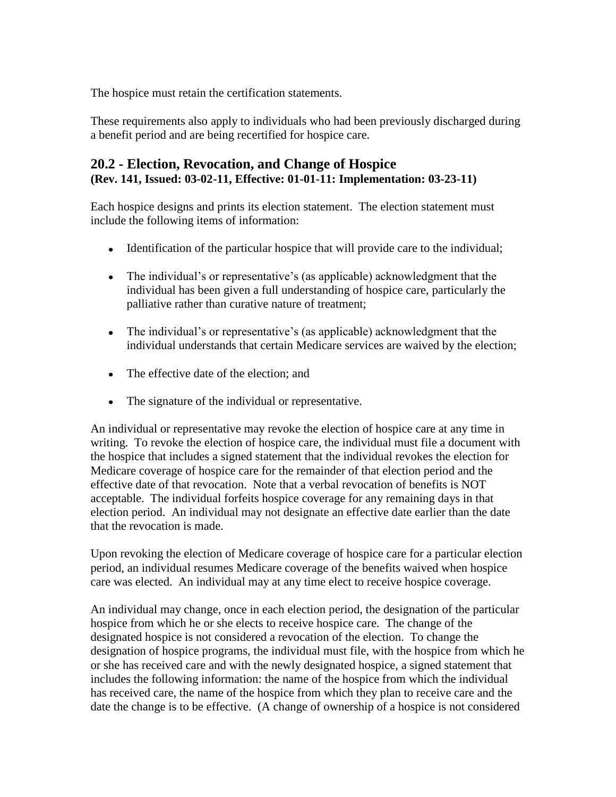The hospice must retain the certification statements.

These requirements also apply to individuals who had been previously discharged during a benefit period and are being recertified for hospice care.

### <span id="page-6-0"></span>**20.2 - Election, Revocation, and Change of Hospice (Rev. 141, Issued: 03-02-11, Effective: 01-01-11: Implementation: 03-23-11)**

Each hospice designs and prints its election statement. The election statement must include the following items of information:

- Identification of the particular hospice that will provide care to the individual;
- The individual's or representative's (as applicable) acknowledgment that the individual has been given a full understanding of hospice care, particularly the palliative rather than curative nature of treatment;
- The individual's or representative's (as applicable) acknowledgment that the individual understands that certain Medicare services are waived by the election;
- The effective date of the election; and
- The signature of the individual or representative.  $\bullet$

An individual or representative may revoke the election of hospice care at any time in writing. To revoke the election of hospice care, the individual must file a document with the hospice that includes a signed statement that the individual revokes the election for Medicare coverage of hospice care for the remainder of that election period and the effective date of that revocation. Note that a verbal revocation of benefits is NOT acceptable. The individual forfeits hospice coverage for any remaining days in that election period. An individual may not designate an effective date earlier than the date that the revocation is made.

Upon revoking the election of Medicare coverage of hospice care for a particular election period, an individual resumes Medicare coverage of the benefits waived when hospice care was elected. An individual may at any time elect to receive hospice coverage.

An individual may change, once in each election period, the designation of the particular hospice from which he or she elects to receive hospice care. The change of the designated hospice is not considered a revocation of the election. To change the designation of hospice programs, the individual must file, with the hospice from which he or she has received care and with the newly designated hospice, a signed statement that includes the following information: the name of the hospice from which the individual has received care, the name of the hospice from which they plan to receive care and the date the change is to be effective. (A change of ownership of a hospice is not considered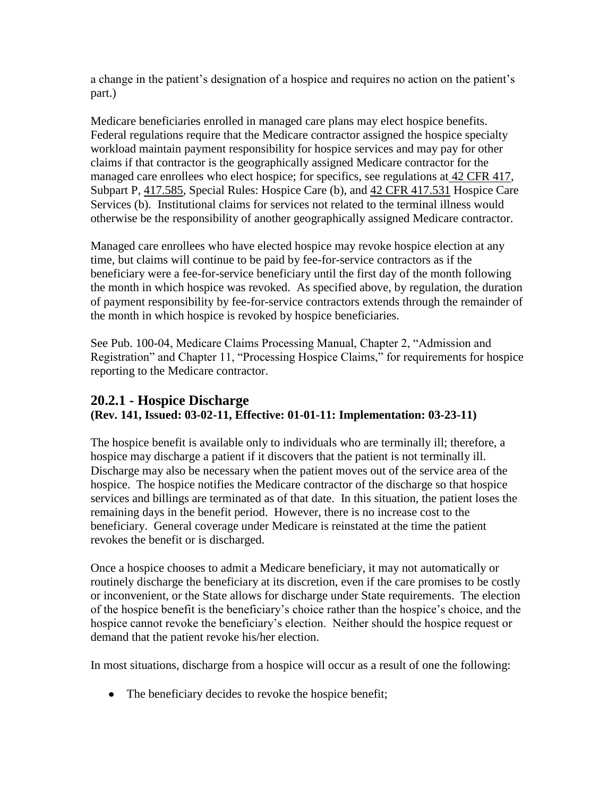a change in the patient's designation of a hospice and requires no action on the patient's part.)

Medicare beneficiaries enrolled in managed care plans may elect hospice benefits. Federal regulations require that the Medicare contractor assigned the hospice specialty workload maintain payment responsibility for hospice services and may pay for other claims if that contractor is the geographically assigned Medicare contractor for the managed care enrollees who elect hospice; for specifics, see regulations at [42 CFR 417,](http://ecfr.gpoaccess.gov/cgi/t/text/text-idx?c=ecfr&sid=312721e9d709fd720da9dd3ccf992f35&rgn=div6&view=text&node=42:3.0.1.1.4.14&idno=42) Subpart P, [417.585,](http://ecfr.gpoaccess.gov/cgi/t/text/text-idx?c=ecfr&sid=312721e9d709fd720da9dd3ccf992f35&rgn=div8&view=text&node=42:3.0.1.1.4.14.1.4&idno=42) Special Rules: Hospice Care (b), and [42 CFR 417.531](http://ecfr.gpoaccess.gov/cgi/t/text/text-idx?c=ecfr&sid=312721e9d709fd720da9dd3ccf992f35&rgn=div8&view=text&node=42:3.0.1.1.4.13.1.2&idno=42) Hospice Care Services (b). Institutional claims for services not related to the terminal illness would otherwise be the responsibility of another geographically assigned Medicare contractor.

Managed care enrollees who have elected hospice may revoke hospice election at any time, but claims will continue to be paid by fee-for-service contractors as if the beneficiary were a fee-for-service beneficiary until the first day of the month following the month in which hospice was revoked. As specified above, by regulation, the duration of payment responsibility by fee-for-service contractors extends through the remainder of the month in which hospice is revoked by hospice beneficiaries.

See Pub. 100-04, Medicare Claims Processing Manual, Chapter 2, "Admission and Registration" and Chapter 11, "Processing Hospice Claims," for requirements for hospice reporting to the Medicare contractor.

## <span id="page-7-0"></span>**20.2.1 - Hospice Discharge (Rev. 141, Issued: 03-02-11, Effective: 01-01-11: Implementation: 03-23-11)**

The hospice benefit is available only to individuals who are terminally ill; therefore, a hospice may discharge a patient if it discovers that the patient is not terminally ill. Discharge may also be necessary when the patient moves out of the service area of the hospice. The hospice notifies the Medicare contractor of the discharge so that hospice services and billings are terminated as of that date. In this situation, the patient loses the remaining days in the benefit period. However, there is no increase cost to the beneficiary. General coverage under Medicare is reinstated at the time the patient revokes the benefit or is discharged.

Once a hospice chooses to admit a Medicare beneficiary, it may not automatically or routinely discharge the beneficiary at its discretion, even if the care promises to be costly or inconvenient, or the State allows for discharge under State requirements. The election of the hospice benefit is the beneficiary's choice rather than the hospice's choice, and the hospice cannot revoke the beneficiary's election. Neither should the hospice request or demand that the patient revoke his/her election.

In most situations, discharge from a hospice will occur as a result of one the following:

• The beneficiary decides to revoke the hospice benefit;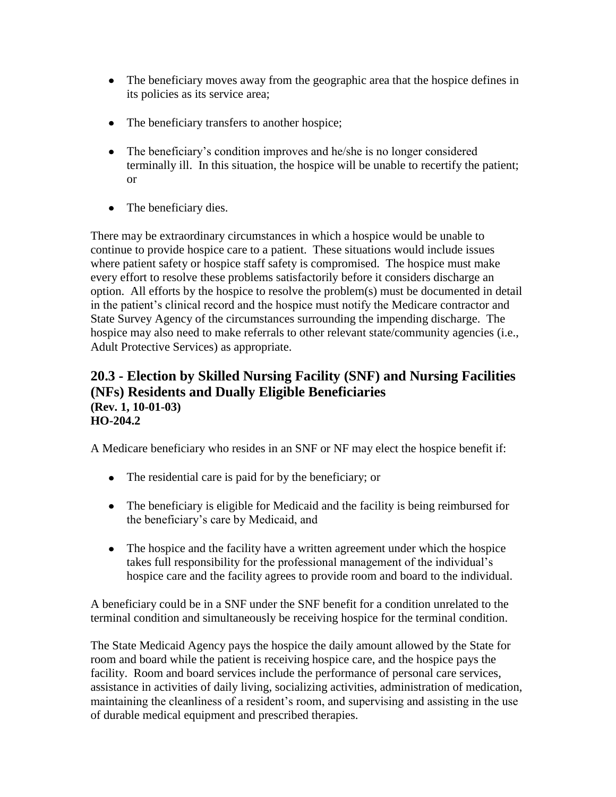- The beneficiary moves away from the geographic area that the hospice defines in its policies as its service area;
- The beneficiary transfers to another hospice;
- The beneficiary's condition improves and he/she is no longer considered terminally ill. In this situation, the hospice will be unable to recertify the patient; or
- The beneficiary dies.

There may be extraordinary circumstances in which a hospice would be unable to continue to provide hospice care to a patient. These situations would include issues where patient safety or hospice staff safety is compromised. The hospice must make every effort to resolve these problems satisfactorily before it considers discharge an option. All efforts by the hospice to resolve the problem(s) must be documented in detail in the patient's clinical record and the hospice must notify the Medicare contractor and State Survey Agency of the circumstances surrounding the impending discharge. The hospice may also need to make referrals to other relevant state/community agencies (i.e., Adult Protective Services) as appropriate.

# <span id="page-8-0"></span>**20.3 - Election by Skilled Nursing Facility (SNF) and Nursing Facilities (NFs) Residents and Dually Eligible Beneficiaries (Rev. 1, 10-01-03) HO-204.2**

A Medicare beneficiary who resides in an SNF or NF may elect the hospice benefit if:

- The residential care is paid for by the beneficiary; or
- The beneficiary is eligible for Medicaid and the facility is being reimbursed for the beneficiary's care by Medicaid, and
- The hospice and the facility have a written agreement under which the hospice takes full responsibility for the professional management of the individual's hospice care and the facility agrees to provide room and board to the individual.

A beneficiary could be in a SNF under the SNF benefit for a condition unrelated to the terminal condition and simultaneously be receiving hospice for the terminal condition.

The State Medicaid Agency pays the hospice the daily amount allowed by the State for room and board while the patient is receiving hospice care, and the hospice pays the facility. Room and board services include the performance of personal care services, assistance in activities of daily living, socializing activities, administration of medication, maintaining the cleanliness of a resident's room, and supervising and assisting in the use of durable medical equipment and prescribed therapies.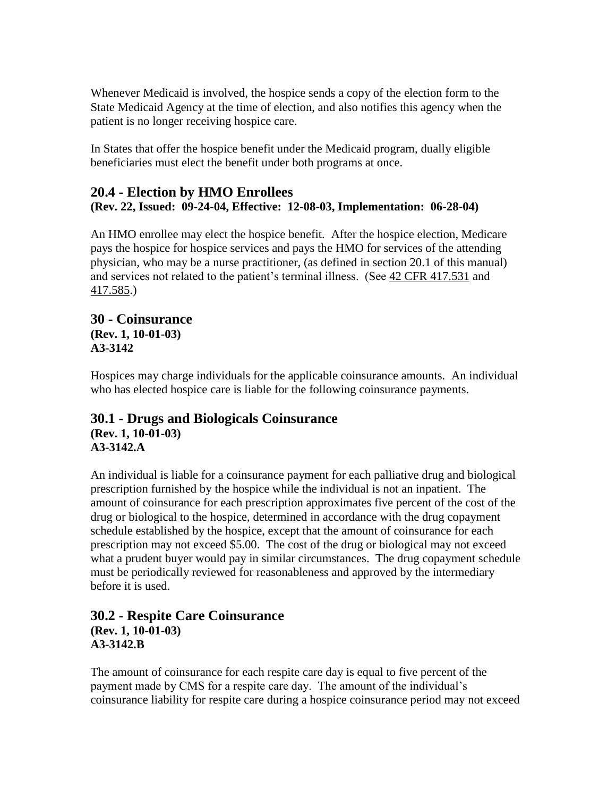Whenever Medicaid is involved, the hospice sends a copy of the election form to the State Medicaid Agency at the time of election, and also notifies this agency when the patient is no longer receiving hospice care.

In States that offer the hospice benefit under the Medicaid program, dually eligible beneficiaries must elect the benefit under both programs at once.

## <span id="page-9-0"></span>**20.4 - Election by HMO Enrollees**

#### **(Rev. 22, Issued: 09-24-04, Effective: 12-08-03, Implementation: 06-28-04)**

An HMO enrollee may elect the hospice benefit. After the hospice election, Medicare pays the hospice for hospice services and pays the HMO for services of the attending physician, who may be a nurse practitioner, (as defined in section 20.1 of this manual) and services not related to the patient's terminal illness. (See [42 CFR 417.531](http://www.cms.hhs.gov/regulations/) and [417.585.](http://www.cms.hhs.gov/regulations/))

#### <span id="page-9-1"></span>**30 - Coinsurance (Rev. 1, 10-01-03) A3-3142**

Hospices may charge individuals for the applicable coinsurance amounts. An individual who has elected hospice care is liable for the following coinsurance payments.

#### <span id="page-9-2"></span>**30.1 - Drugs and Biologicals Coinsurance (Rev. 1, 10-01-03) A3-3142.A**

An individual is liable for a coinsurance payment for each palliative drug and biological prescription furnished by the hospice while the individual is not an inpatient. The amount of coinsurance for each prescription approximates five percent of the cost of the drug or biological to the hospice, determined in accordance with the drug copayment schedule established by the hospice, except that the amount of coinsurance for each prescription may not exceed \$5.00. The cost of the drug or biological may not exceed what a prudent buyer would pay in similar circumstances. The drug copayment schedule must be periodically reviewed for reasonableness and approved by the intermediary before it is used.

### <span id="page-9-3"></span>**30.2 - Respite Care Coinsurance (Rev. 1, 10-01-03) A3-3142.B**

The amount of coinsurance for each respite care day is equal to five percent of the payment made by CMS for a respite care day. The amount of the individual's coinsurance liability for respite care during a hospice coinsurance period may not exceed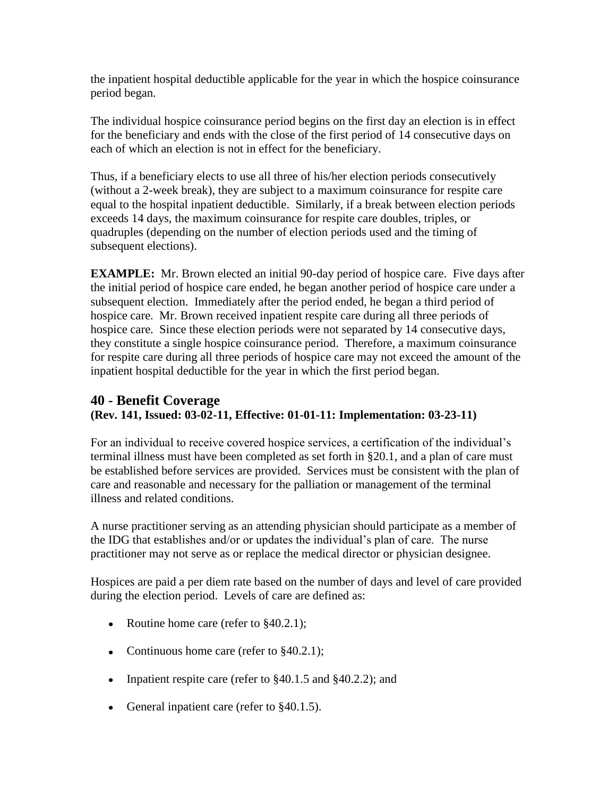the inpatient hospital deductible applicable for the year in which the hospice coinsurance period began.

The individual hospice coinsurance period begins on the first day an election is in effect for the beneficiary and ends with the close of the first period of 14 consecutive days on each of which an election is not in effect for the beneficiary.

Thus, if a beneficiary elects to use all three of his/her election periods consecutively (without a 2-week break), they are subject to a maximum coinsurance for respite care equal to the hospital inpatient deductible. Similarly, if a break between election periods exceeds 14 days, the maximum coinsurance for respite care doubles, triples, or quadruples (depending on the number of election periods used and the timing of subsequent elections).

**EXAMPLE:** Mr. Brown elected an initial 90-day period of hospice care. Five days after the initial period of hospice care ended, he began another period of hospice care under a subsequent election. Immediately after the period ended, he began a third period of hospice care. Mr. Brown received inpatient respite care during all three periods of hospice care. Since these election periods were not separated by 14 consecutive days, they constitute a single hospice coinsurance period. Therefore, a maximum coinsurance for respite care during all three periods of hospice care may not exceed the amount of the inpatient hospital deductible for the year in which the first period began.

#### <span id="page-10-0"></span>**40 - Benefit Coverage (Rev. 141, Issued: 03-02-11, Effective: 01-01-11: Implementation: 03-23-11)**

For an individual to receive covered hospice services, a certification of the individual's terminal illness must have been completed as set forth in §20.1, and a plan of care must be established before services are provided. Services must be consistent with the plan of care and reasonable and necessary for the palliation or management of the terminal illness and related conditions.

A nurse practitioner serving as an attending physician should participate as a member of the IDG that establishes and/or or updates the individual's plan of care. The nurse practitioner may not serve as or replace the medical director or physician designee.

Hospices are paid a per diem rate based on the number of days and level of care provided during the election period. Levels of care are defined as:

- Routine home care (refer to  $\S 40.2.1$ );
- Continuous home care (refer to  $\S 40.2.1$ );
- Inpatient respite care (refer to  $\S 40.1.5$  and  $\S 40.2.2$ ); and
- General inpatient care (refer to  $\S 40.1.5$ ).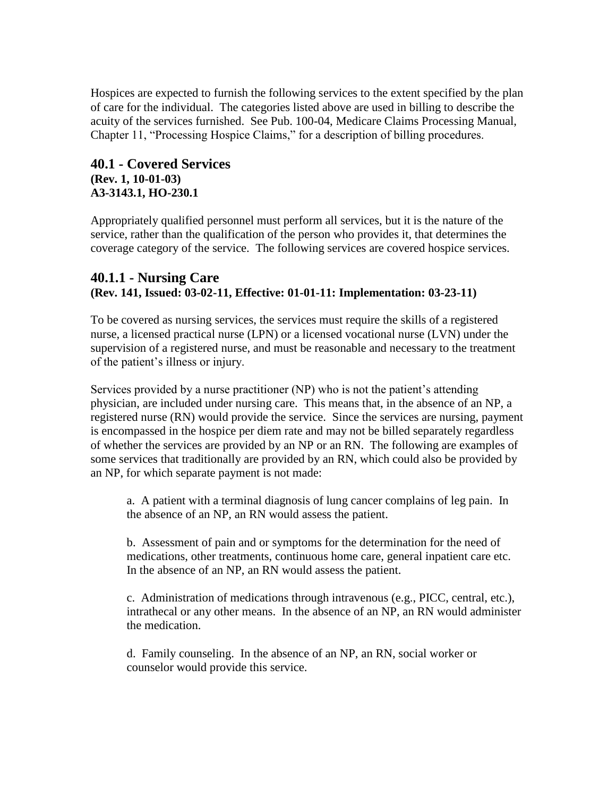Hospices are expected to furnish the following services to the extent specified by the plan of care for the individual. The categories listed above are used in billing to describe the acuity of the services furnished. See Pub. 100-04, Medicare Claims Processing Manual, Chapter 11, "Processing Hospice Claims," for a description of billing procedures.

## <span id="page-11-0"></span>**40.1 - Covered Services (Rev. 1, 10-01-03) A3-3143.1, HO-230.1**

Appropriately qualified personnel must perform all services, but it is the nature of the service, rather than the qualification of the person who provides it, that determines the coverage category of the service. The following services are covered hospice services.

### <span id="page-11-1"></span>**40.1.1 - Nursing Care (Rev. 141, Issued: 03-02-11, Effective: 01-01-11: Implementation: 03-23-11)**

To be covered as nursing services, the services must require the skills of a registered nurse, a licensed practical nurse (LPN) or a licensed vocational nurse (LVN) under the supervision of a registered nurse, and must be reasonable and necessary to the treatment of the patient's illness or injury.

Services provided by a nurse practitioner (NP) who is not the patient's attending physician, are included under nursing care. This means that, in the absence of an NP, a registered nurse (RN) would provide the service. Since the services are nursing, payment is encompassed in the hospice per diem rate and may not be billed separately regardless of whether the services are provided by an NP or an RN. The following are examples of some services that traditionally are provided by an RN, which could also be provided by an NP, for which separate payment is not made:

a. A patient with a terminal diagnosis of lung cancer complains of leg pain. In the absence of an NP, an RN would assess the patient.

b. Assessment of pain and or symptoms for the determination for the need of medications, other treatments, continuous home care, general inpatient care etc. In the absence of an NP, an RN would assess the patient.

c. Administration of medications through intravenous (e.g., PICC, central, etc.), intrathecal or any other means. In the absence of an NP, an RN would administer the medication.

d. Family counseling. In the absence of an NP, an RN, social worker or counselor would provide this service.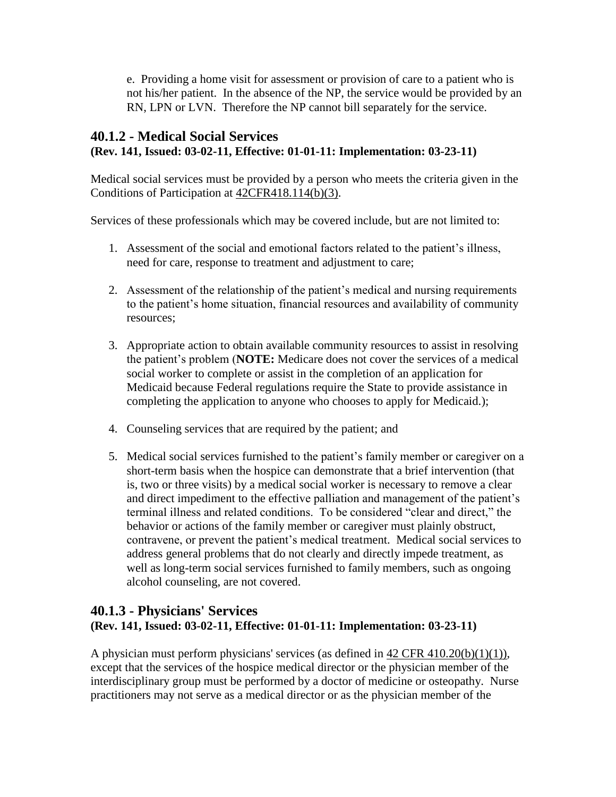e. Providing a home visit for assessment or provision of care to a patient who is not his/her patient. In the absence of the NP, the service would be provided by an RN, LPN or LVN. Therefore the NP cannot bill separately for the service.

## <span id="page-12-0"></span>**40.1.2 - Medical Social Services (Rev. 141, Issued: 03-02-11, Effective: 01-01-11: Implementation: 03-23-11)**

Medical social services must be provided by a person who meets the criteria given in the Conditions of Participation at [42CFR418.114\(b\)\(3\).](http://ecfr.gpoaccess.gov/cgi/t/text/text-idx?c=ecfr&sid=312721e9d709fd720da9dd3ccf992f35&rgn=div5&view=text&node=42:3.0.1.1.5&idno=42#42:3.0.1.1.5.4.5.8)

Services of these professionals which may be covered include, but are not limited to:

- 1. Assessment of the social and emotional factors related to the patient's illness, need for care, response to treatment and adjustment to care;
- 2. Assessment of the relationship of the patient's medical and nursing requirements to the patient's home situation, financial resources and availability of community resources;
- 3. Appropriate action to obtain available community resources to assist in resolving the patient's problem (**NOTE:** Medicare does not cover the services of a medical social worker to complete or assist in the completion of an application for Medicaid because Federal regulations require the State to provide assistance in completing the application to anyone who chooses to apply for Medicaid.);
- 4. Counseling services that are required by the patient; and
- 5. Medical social services furnished to the patient's family member or caregiver on a short-term basis when the hospice can demonstrate that a brief intervention (that is, two or three visits) by a medical social worker is necessary to remove a clear and direct impediment to the effective palliation and management of the patient's terminal illness and related conditions. To be considered "clear and direct," the behavior or actions of the family member or caregiver must plainly obstruct, contravene, or prevent the patient's medical treatment. Medical social services to address general problems that do not clearly and directly impede treatment, as well as long-term social services furnished to family members, such as ongoing alcohol counseling, are not covered.

## <span id="page-12-1"></span>**40.1.3 - Physicians' Services (Rev. 141, Issued: 03-02-11, Effective: 01-01-11: Implementation: 03-23-11)**

A physician must perform physicians' services (as defined in  $42$  CFR  $410.20(b)(1)(1)$ ), except that the services of the hospice medical director or the physician member of the interdisciplinary group must be performed by a doctor of medicine or osteopathy. Nurse practitioners may not serve as a medical director or as the physician member of the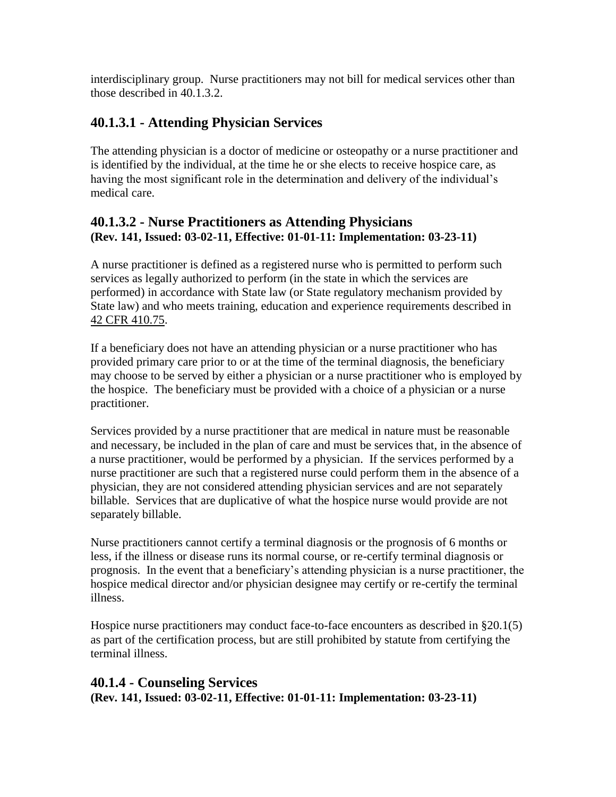interdisciplinary group. Nurse practitioners may not bill for medical services other than those described in 40.1.3.2.

# <span id="page-13-0"></span>**40.1.3.1 - Attending Physician Services**

The attending physician is a doctor of medicine or osteopathy or a nurse practitioner and is identified by the individual, at the time he or she elects to receive hospice care, as having the most significant role in the determination and delivery of the individual's medical care.

## <span id="page-13-1"></span>**40.1.3.2 - Nurse Practitioners as Attending Physicians (Rev. 141, Issued: 03-02-11, Effective: 01-01-11: Implementation: 03-23-11)**

A nurse practitioner is defined as a registered nurse who is permitted to perform such services as legally authorized to perform (in the state in which the services are performed) in accordance with State law (or State regulatory mechanism provided by State law) and who meets training, education and experience requirements described in [42 CFR 410.75.](http://ecfr.gpoaccess.gov/cgi/t/text/text-idx?c=ecfr&sid=3aa0892b6d185f004a37f538e4169406&rgn=div8&view=text&node=42:2.0.1.2.10.2.35.56&idno=42)

If a beneficiary does not have an attending physician or a nurse practitioner who has provided primary care prior to or at the time of the terminal diagnosis, the beneficiary may choose to be served by either a physician or a nurse practitioner who is employed by the hospice. The beneficiary must be provided with a choice of a physician or a nurse practitioner.

Services provided by a nurse practitioner that are medical in nature must be reasonable and necessary, be included in the plan of care and must be services that, in the absence of a nurse practitioner, would be performed by a physician. If the services performed by a nurse practitioner are such that a registered nurse could perform them in the absence of a physician, they are not considered attending physician services and are not separately billable. Services that are duplicative of what the hospice nurse would provide are not separately billable.

Nurse practitioners cannot certify a terminal diagnosis or the prognosis of 6 months or less, if the illness or disease runs its normal course, or re-certify terminal diagnosis or prognosis. In the event that a beneficiary's attending physician is a nurse practitioner, the hospice medical director and/or physician designee may certify or re-certify the terminal illness.

Hospice nurse practitioners may conduct face-to-face encounters as described in §20.1(5) as part of the certification process, but are still prohibited by statute from certifying the terminal illness.

# <span id="page-13-2"></span>**40.1.4 - Counseling Services**

**(Rev. 141, Issued: 03-02-11, Effective: 01-01-11: Implementation: 03-23-11)**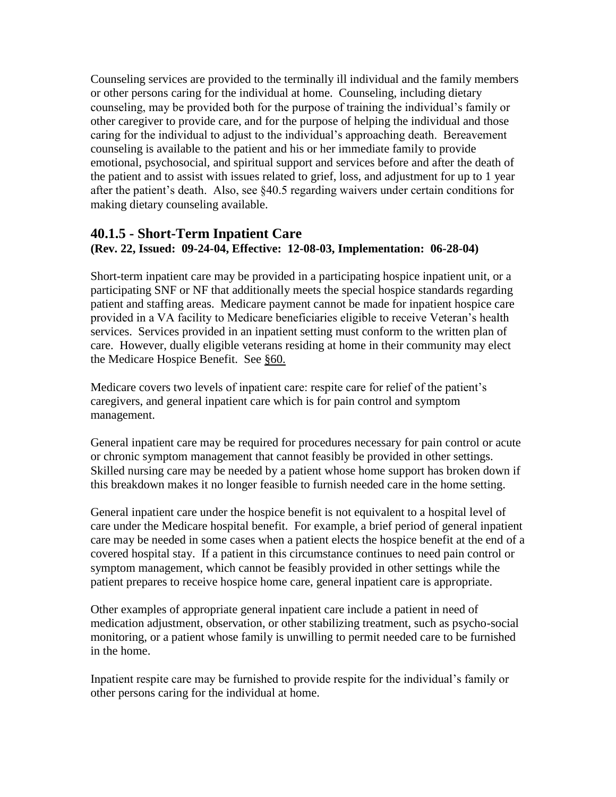Counseling services are provided to the terminally ill individual and the family members or other persons caring for the individual at home. Counseling, including dietary counseling, may be provided both for the purpose of training the individual's family or other caregiver to provide care, and for the purpose of helping the individual and those caring for the individual to adjust to the individual's approaching death. Bereavement counseling is available to the patient and his or her immediate family to provide emotional, psychosocial, and spiritual support and services before and after the death of the patient and to assist with issues related to grief, loss, and adjustment for up to 1 year after the patient's death. Also, see §40.5 regarding waivers under certain conditions for making dietary counseling available.

#### <span id="page-14-0"></span>**40.1.5 - Short-Term Inpatient Care (Rev. 22, Issued: 09-24-04, Effective: 12-08-03, Implementation: 06-28-04)**

Short-term inpatient care may be provided in a participating hospice inpatient unit, or a participating SNF or NF that additionally meets the special hospice standards regarding patient and staffing areas. Medicare payment cannot be made for inpatient hospice care provided in a VA facility to Medicare beneficiaries eligible to receive Veteran's health services. Services provided in an inpatient setting must conform to the written plan of care. However, dually eligible veterans residing at home in their community may elect the Medicare Hospice Benefit. See [§60.](#page-25-1)

Medicare covers two levels of inpatient care: respite care for relief of the patient's caregivers, and general inpatient care which is for pain control and symptom management.

General inpatient care may be required for procedures necessary for pain control or acute or chronic symptom management that cannot feasibly be provided in other settings. Skilled nursing care may be needed by a patient whose home support has broken down if this breakdown makes it no longer feasible to furnish needed care in the home setting.

General inpatient care under the hospice benefit is not equivalent to a hospital level of care under the Medicare hospital benefit. For example, a brief period of general inpatient care may be needed in some cases when a patient elects the hospice benefit at the end of a covered hospital stay. If a patient in this circumstance continues to need pain control or symptom management, which cannot be feasibly provided in other settings while the patient prepares to receive hospice home care, general inpatient care is appropriate.

Other examples of appropriate general inpatient care include a patient in need of medication adjustment, observation, or other stabilizing treatment, such as psycho-social monitoring, or a patient whose family is unwilling to permit needed care to be furnished in the home.

Inpatient respite care may be furnished to provide respite for the individual's family or other persons caring for the individual at home.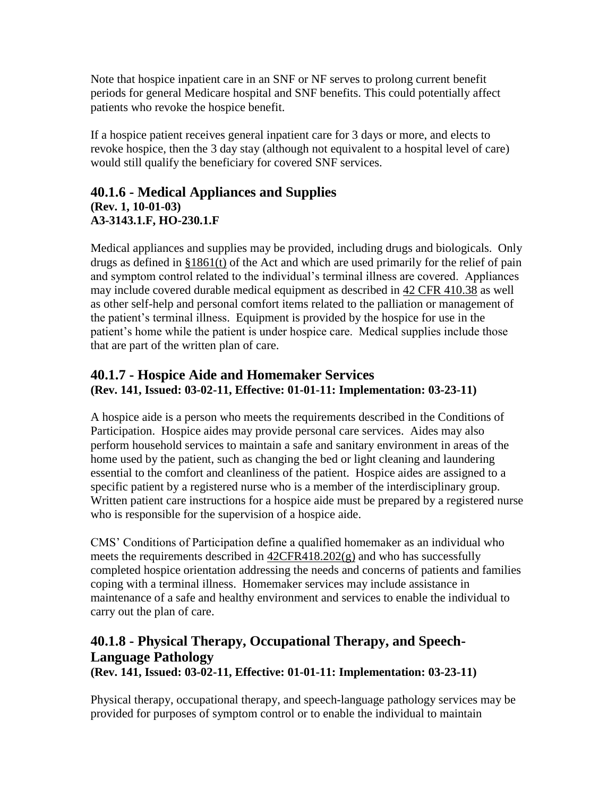Note that hospice inpatient care in an SNF or NF serves to prolong current benefit periods for general Medicare hospital and SNF benefits. This could potentially affect patients who revoke the hospice benefit.

If a hospice patient receives general inpatient care for 3 days or more, and elects to revoke hospice, then the 3 day stay (although not equivalent to a hospital level of care) would still qualify the beneficiary for covered SNF services.

#### <span id="page-15-0"></span>**40.1.6 - Medical Appliances and Supplies (Rev. 1, 10-01-03) A3-3143.1.F, HO-230.1.F**

Medical appliances and supplies may be provided, including drugs and biologicals. Only drugs as defined in [§1861\(t\)](http://www.cms.hhs.gov/regulations/) of the Act and which are used primarily for the relief of pain and symptom control related to the individual's terminal illness are covered. Appliances may include covered durable medical equipment as described in 42 CFR [410.38](http://www.cms.hhs.gov/regulations/) as well as other self-help and personal comfort items related to the palliation or management of the patient's terminal illness. Equipment is provided by the hospice for use in the patient's home while the patient is under hospice care. Medical supplies include those that are part of the written plan of care.

# <span id="page-15-1"></span>**40.1.7 - Hospice Aide and Homemaker Services (Rev. 141, Issued: 03-02-11, Effective: 01-01-11: Implementation: 03-23-11)**

A hospice aide is a person who meets the requirements described in the Conditions of Participation. Hospice aides may provide personal care services. Aides may also perform household services to maintain a safe and sanitary environment in areas of the home used by the patient, such as changing the bed or light cleaning and laundering essential to the comfort and cleanliness of the patient. Hospice aides are assigned to a specific patient by a registered nurse who is a member of the interdisciplinary group. Written patient care instructions for a hospice aide must be prepared by a registered nurse who is responsible for the supervision of a hospice aide.

CMS' Conditions of Participation define a qualified homemaker as an individual who meets the requirements described in [42CFR418.202\(g\)](http://ecfr.gpoaccess.gov/cgi/t/text/text-idx?c=ecfr&sid=3aa0892b6d185f004a37f538e4169406&rgn=div5&view=text&node=42:3.0.1.1.5&idno=42#42:3.0.1.1.5.6.5.2) and who has successfully completed hospice orientation addressing the needs and concerns of patients and families coping with a terminal illness. Homemaker services may include assistance in maintenance of a safe and healthy environment and services to enable the individual to carry out the plan of care.

## <span id="page-15-2"></span>**40.1.8 - Physical Therapy, Occupational Therapy, and Speech-Language Pathology (Rev. 141, Issued: 03-02-11, Effective: 01-01-11: Implementation: 03-23-11)**

Physical therapy, occupational therapy, and speech-language pathology services may be provided for purposes of symptom control or to enable the individual to maintain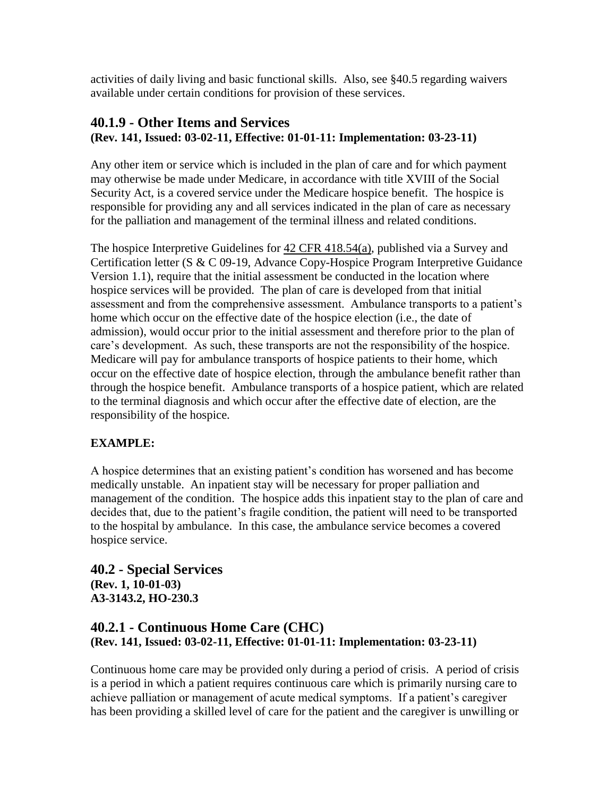activities of daily living and basic functional skills. Also, see §40.5 regarding waivers available under certain conditions for provision of these services.

## <span id="page-16-0"></span>**40.1.9 - Other Items and Services (Rev. 141, Issued: 03-02-11, Effective: 01-01-11: Implementation: 03-23-11)**

Any other item or service which is included in the plan of care and for which payment may otherwise be made under Medicare, in accordance with title XVIII of the Social Security Act, is a covered service under the Medicare hospice benefit. The hospice is responsible for providing any and all services indicated in the plan of care as necessary for the palliation and management of the terminal illness and related conditions.

The hospice Interpretive Guidelines for  $42$  CFR  $418.54(a)$ , published via a Survey and Certification letter (S & C 09-19, Advance Copy-Hospice Program Interpretive Guidance Version 1.1), require that the initial assessment be conducted in the location where hospice services will be provided. The plan of care is developed from that initial assessment and from the comprehensive assessment. Ambulance transports to a patient's home which occur on the effective date of the hospice election (i.e., the date of admission), would occur prior to the initial assessment and therefore prior to the plan of care's development. As such, these transports are not the responsibility of the hospice. Medicare will pay for ambulance transports of hospice patients to their home, which occur on the effective date of hospice election, through the ambulance benefit rather than through the hospice benefit. Ambulance transports of a hospice patient, which are related to the terminal diagnosis and which occur after the effective date of election, are the responsibility of the hospice.

## **EXAMPLE:**

A hospice determines that an existing patient's condition has worsened and has become medically unstable. An inpatient stay will be necessary for proper palliation and management of the condition. The hospice adds this inpatient stay to the plan of care and decides that, due to the patient's fragile condition, the patient will need to be transported to the hospital by ambulance. In this case, the ambulance service becomes a covered hospice service.

<span id="page-16-1"></span>**40.2 - Special Services (Rev. 1, 10-01-03) A3-3143.2, HO-230.3**

## <span id="page-16-2"></span>**40.2.1 - Continuous Home Care (CHC) (Rev. 141, Issued: 03-02-11, Effective: 01-01-11: Implementation: 03-23-11)**

Continuous home care may be provided only during a period of crisis. A period of crisis is a period in which a patient requires continuous care which is primarily nursing care to achieve palliation or management of acute medical symptoms. If a patient's caregiver has been providing a skilled level of care for the patient and the caregiver is unwilling or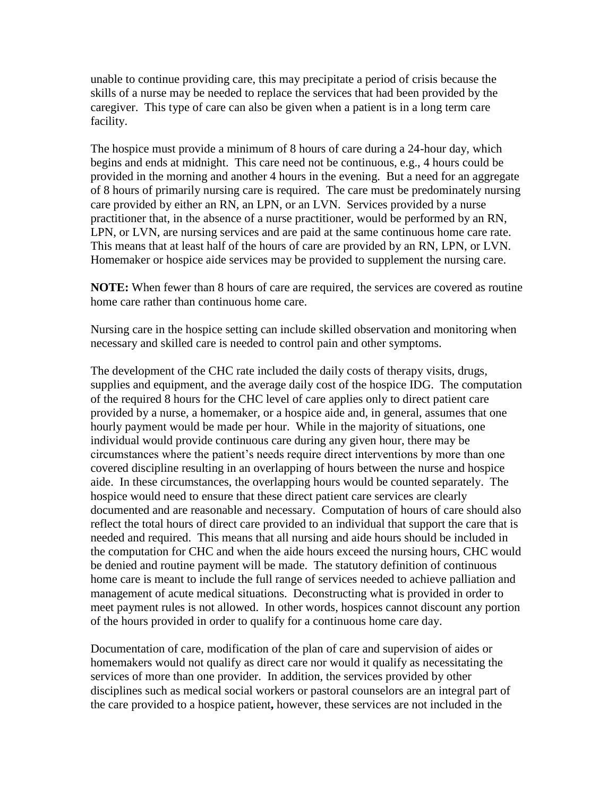unable to continue providing care, this may precipitate a period of crisis because the skills of a nurse may be needed to replace the services that had been provided by the caregiver. This type of care can also be given when a patient is in a long term care facility.

The hospice must provide a minimum of 8 hours of care during a 24-hour day, which begins and ends at midnight. This care need not be continuous, e.g., 4 hours could be provided in the morning and another 4 hours in the evening. But a need for an aggregate of 8 hours of primarily nursing care is required. The care must be predominately nursing care provided by either an RN, an LPN, or an LVN. Services provided by a nurse practitioner that, in the absence of a nurse practitioner, would be performed by an RN, LPN, or LVN, are nursing services and are paid at the same continuous home care rate. This means that at least half of the hours of care are provided by an RN, LPN, or LVN. Homemaker or hospice aide services may be provided to supplement the nursing care.

**NOTE:** When fewer than 8 hours of care are required, the services are covered as routine home care rather than continuous home care.

Nursing care in the hospice setting can include skilled observation and monitoring when necessary and skilled care is needed to control pain and other symptoms.

The development of the CHC rate included the daily costs of therapy visits, drugs, supplies and equipment, and the average daily cost of the hospice IDG. The computation of the required 8 hours for the CHC level of care applies only to direct patient care provided by a nurse, a homemaker, or a hospice aide and, in general, assumes that one hourly payment would be made per hour. While in the majority of situations, one individual would provide continuous care during any given hour, there may be circumstances where the patient's needs require direct interventions by more than one covered discipline resulting in an overlapping of hours between the nurse and hospice aide. In these circumstances, the overlapping hours would be counted separately. The hospice would need to ensure that these direct patient care services are clearly documented and are reasonable and necessary. Computation of hours of care should also reflect the total hours of direct care provided to an individual that support the care that is needed and required. This means that all nursing and aide hours should be included in the computation for CHC and when the aide hours exceed the nursing hours, CHC would be denied and routine payment will be made. The statutory definition of continuous home care is meant to include the full range of services needed to achieve palliation and management of acute medical situations. Deconstructing what is provided in order to meet payment rules is not allowed. In other words, hospices cannot discount any portion of the hours provided in order to qualify for a continuous home care day.

Documentation of care, modification of the plan of care and supervision of aides or homemakers would not qualify as direct care nor would it qualify as necessitating the services of more than one provider. In addition, the services provided by other disciplines such as medical social workers or pastoral counselors are an integral part of the care provided to a hospice patient**,** however, these services are not included in the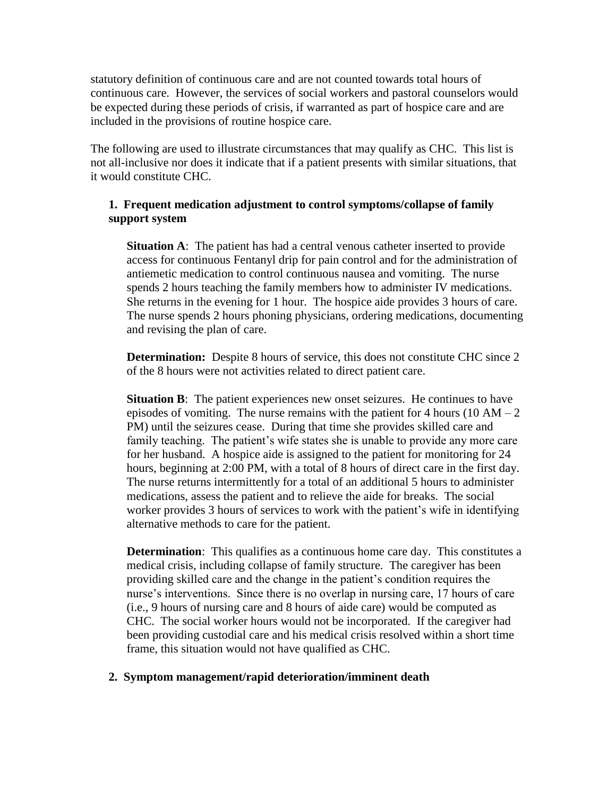statutory definition of continuous care and are not counted towards total hours of continuous care. However, the services of social workers and pastoral counselors would be expected during these periods of crisis, if warranted as part of hospice care and are included in the provisions of routine hospice care.

The following are used to illustrate circumstances that may qualify as CHC. This list is not all-inclusive nor does it indicate that if a patient presents with similar situations, that it would constitute CHC.

#### **1. Frequent medication adjustment to control symptoms/collapse of family support system**

**Situation A**: The patient has had a central venous catheter inserted to provide access for continuous Fentanyl drip for pain control and for the administration of antiemetic medication to control continuous nausea and vomiting. The nurse spends 2 hours teaching the family members how to administer IV medications. She returns in the evening for 1 hour. The hospice aide provides 3 hours of care. The nurse spends 2 hours phoning physicians, ordering medications, documenting and revising the plan of care.

**Determination:** Despite 8 hours of service, this does not constitute CHC since 2 of the 8 hours were not activities related to direct patient care.

**Situation B**: The patient experiences new onset seizures. He continues to have episodes of vomiting. The nurse remains with the patient for 4 hours (10 AM – 2) PM) until the seizures cease. During that time she provides skilled care and family teaching. The patient's wife states she is unable to provide any more care for her husband. A hospice aide is assigned to the patient for monitoring for 24 hours, beginning at 2:00 PM, with a total of 8 hours of direct care in the first day. The nurse returns intermittently for a total of an additional 5 hours to administer medications, assess the patient and to relieve the aide for breaks. The social worker provides 3 hours of services to work with the patient's wife in identifying alternative methods to care for the patient.

**Determination**: This qualifies as a continuous home care day. This constitutes a medical crisis, including collapse of family structure. The caregiver has been providing skilled care and the change in the patient's condition requires the nurse's interventions. Since there is no overlap in nursing care, 17 hours of care (i.e., 9 hours of nursing care and 8 hours of aide care) would be computed as CHC. The social worker hours would not be incorporated. If the caregiver had been providing custodial care and his medical crisis resolved within a short time frame, this situation would not have qualified as CHC.

#### **2. Symptom management/rapid deterioration/imminent death**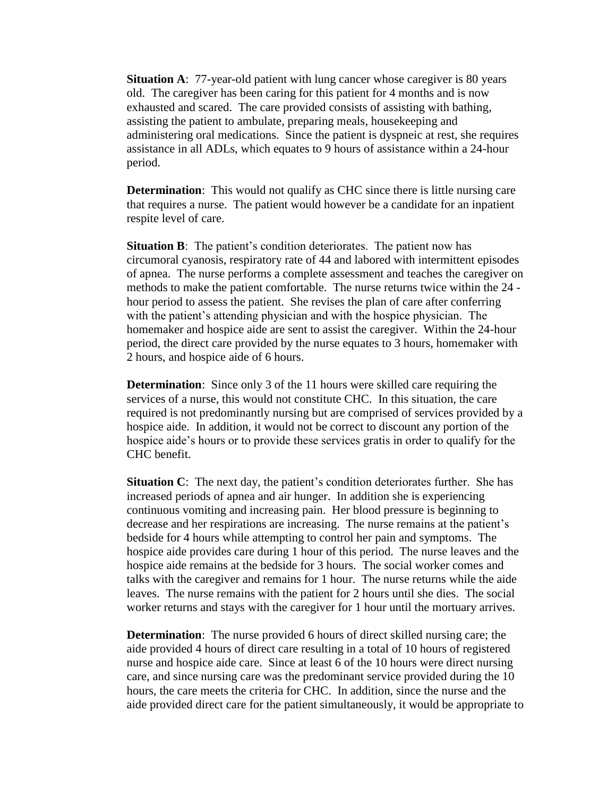**Situation A**: 77-year-old patient with lung cancer whose caregiver is 80 years old. The caregiver has been caring for this patient for 4 months and is now exhausted and scared. The care provided consists of assisting with bathing, assisting the patient to ambulate, preparing meals, housekeeping and administering oral medications. Since the patient is dyspneic at rest, she requires assistance in all ADLs, which equates to 9 hours of assistance within a 24-hour period.

**Determination**: This would not qualify as CHC since there is little nursing care that requires a nurse. The patient would however be a candidate for an inpatient respite level of care.

**Situation B**: The patient's condition deteriorates. The patient now has circumoral cyanosis, respiratory rate of 44 and labored with intermittent episodes of apnea. The nurse performs a complete assessment and teaches the caregiver on methods to make the patient comfortable. The nurse returns twice within the 24 hour period to assess the patient. She revises the plan of care after conferring with the patient's attending physician and with the hospice physician. The homemaker and hospice aide are sent to assist the caregiver. Within the 24-hour period, the direct care provided by the nurse equates to 3 hours, homemaker with 2 hours, and hospice aide of 6 hours.

**Determination**: Since only 3 of the 11 hours were skilled care requiring the services of a nurse, this would not constitute CHC. In this situation, the care required is not predominantly nursing but are comprised of services provided by a hospice aide. In addition, it would not be correct to discount any portion of the hospice aide's hours or to provide these services gratis in order to qualify for the CHC benefit.

**Situation C**: The next day, the patient's condition deteriorates further. She has increased periods of apnea and air hunger. In addition she is experiencing continuous vomiting and increasing pain. Her blood pressure is beginning to decrease and her respirations are increasing. The nurse remains at the patient's bedside for 4 hours while attempting to control her pain and symptoms. The hospice aide provides care during 1 hour of this period. The nurse leaves and the hospice aide remains at the bedside for 3 hours. The social worker comes and talks with the caregiver and remains for 1 hour. The nurse returns while the aide leaves. The nurse remains with the patient for 2 hours until she dies. The social worker returns and stays with the caregiver for 1 hour until the mortuary arrives.

**Determination**: The nurse provided 6 hours of direct skilled nursing care; the aide provided 4 hours of direct care resulting in a total of 10 hours of registered nurse and hospice aide care. Since at least 6 of the 10 hours were direct nursing care, and since nursing care was the predominant service provided during the 10 hours, the care meets the criteria for CHC. In addition, since the nurse and the aide provided direct care for the patient simultaneously, it would be appropriate to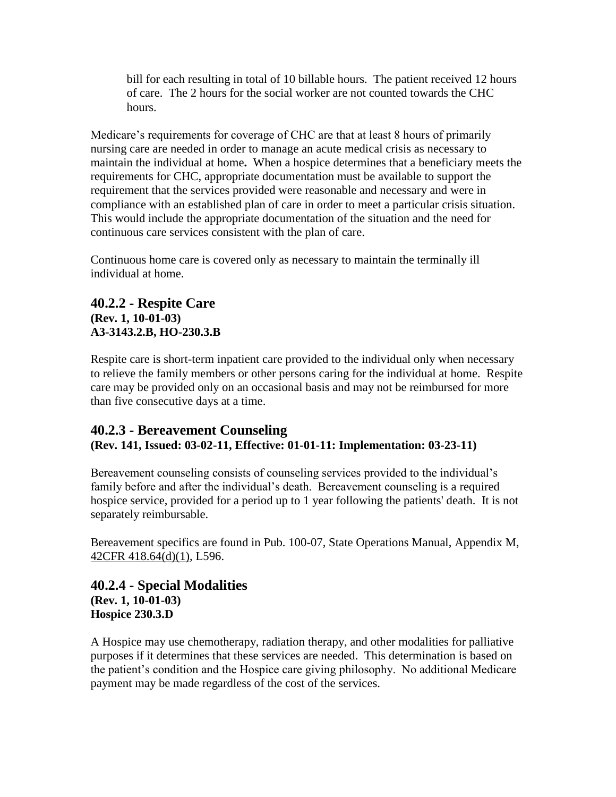bill for each resulting in total of 10 billable hours. The patient received 12 hours of care. The 2 hours for the social worker are not counted towards the CHC hours.

Medicare's requirements for coverage of CHC are that at least 8 hours of primarily nursing care are needed in order to manage an acute medical crisis as necessary to maintain the individual at home**.** When a hospice determines that a beneficiary meets the requirements for CHC, appropriate documentation must be available to support the requirement that the services provided were reasonable and necessary and were in compliance with an established plan of care in order to meet a particular crisis situation. This would include the appropriate documentation of the situation and the need for continuous care services consistent with the plan of care.

Continuous home care is covered only as necessary to maintain the terminally ill individual at home.

## <span id="page-20-0"></span>**40.2.2 - Respite Care (Rev. 1, 10-01-03) A3-3143.2.B, HO-230.3.B**

Respite care is short-term inpatient care provided to the individual only when necessary to relieve the family members or other persons caring for the individual at home. Respite care may be provided only on an occasional basis and may not be reimbursed for more than five consecutive days at a time.

## <span id="page-20-1"></span>**40.2.3 - Bereavement Counseling (Rev. 141, Issued: 03-02-11, Effective: 01-01-11: Implementation: 03-23-11)**

Bereavement counseling consists of counseling services provided to the individual's family before and after the individual's death. Bereavement counseling is a required hospice service, provided for a period up to 1 year following the patients' death. It is not separately reimbursable.

Bereavement specifics are found in Pub. 100-07, State Operations Manual, Appendix M, [42CFR 418.64\(d\)\(1\),](http://ecfr.gpoaccess.gov/cgi/t/text/text-idx?c=ecfr&sid=8ad609c568378eef23fb4bea09ec4310&rgn=div8&view=text&node=42:3.0.1.1.5.3.3.7&idno=42) L596.

## <span id="page-20-2"></span>**40.2.4 - Special Modalities (Rev. 1, 10-01-03) Hospice 230.3.D**

A Hospice may use chemotherapy, radiation therapy, and other modalities for palliative purposes if it determines that these services are needed. This determination is based on the patient's condition and the Hospice care giving philosophy. No additional Medicare payment may be made regardless of the cost of the services.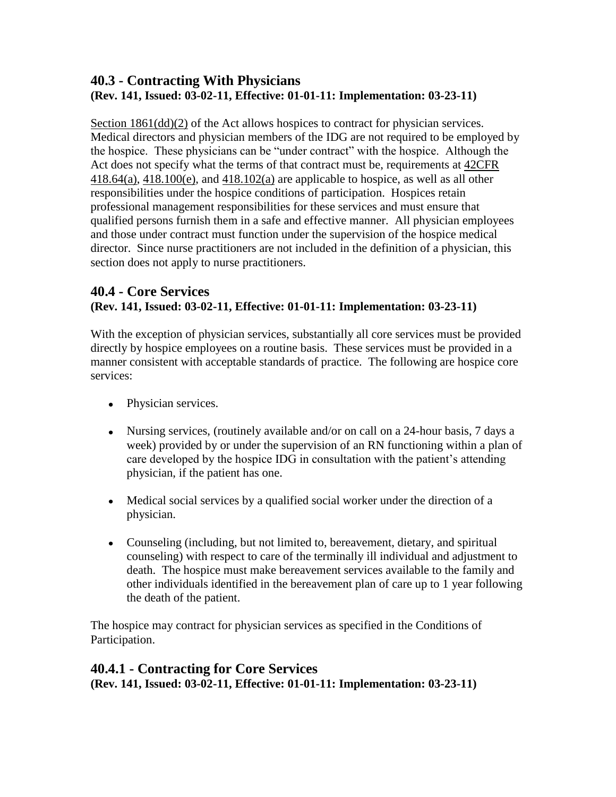## <span id="page-21-0"></span>**40.3 - Contracting With Physicians (Rev. 141, Issued: 03-02-11, Effective: 01-01-11: Implementation: 03-23-11)**

[Section 1861\(dd\)\(2\)](http://www.socialsecurity.gov/OP_Home/ssact/title18/1861.htm) of the Act allows hospices to contract for physician services. Medical directors and physician members of the IDG are not required to be employed by the hospice. These physicians can be "under contract" with the hospice. Although the Act does not specify what the terms of that contract must be, requirements at  $42CFR$  $418.64(a)$ ,  $418.100(e)$ , and  $418.102(a)$  are applicable to hospice, as well as all other responsibilities under the hospice conditions of participation. Hospices retain professional management responsibilities for these services and must ensure that qualified persons furnish them in a safe and effective manner. All physician employees and those under contract must function under the supervision of the hospice medical director. Since nurse practitioners are not included in the definition of a physician, this section does not apply to nurse practitioners.

## <span id="page-21-1"></span>**40.4 - Core Services (Rev. 141, Issued: 03-02-11, Effective: 01-01-11: Implementation: 03-23-11)**

With the exception of physician services, substantially all core services must be provided directly by hospice employees on a routine basis. These services must be provided in a manner consistent with acceptable standards of practice. The following are hospice core services:

- Physician services.
- Nursing services, (routinely available and/or on call on a 24-hour basis, 7 days a week) provided by or under the supervision of an RN functioning within a plan of care developed by the hospice IDG in consultation with the patient's attending physician, if the patient has one.
- Medical social services by a qualified social worker under the direction of a physician.
- Counseling (including, but not limited to, bereavement, dietary, and spiritual counseling) with respect to care of the terminally ill individual and adjustment to death. The hospice must make bereavement services available to the family and other individuals identified in the bereavement plan of care up to 1 year following the death of the patient.

The hospice may contract for physician services as specified in the Conditions of Participation.

## <span id="page-21-2"></span>**40.4.1 - Contracting for Core Services**

**(Rev. 141, Issued: 03-02-11, Effective: 01-01-11: Implementation: 03-23-11)**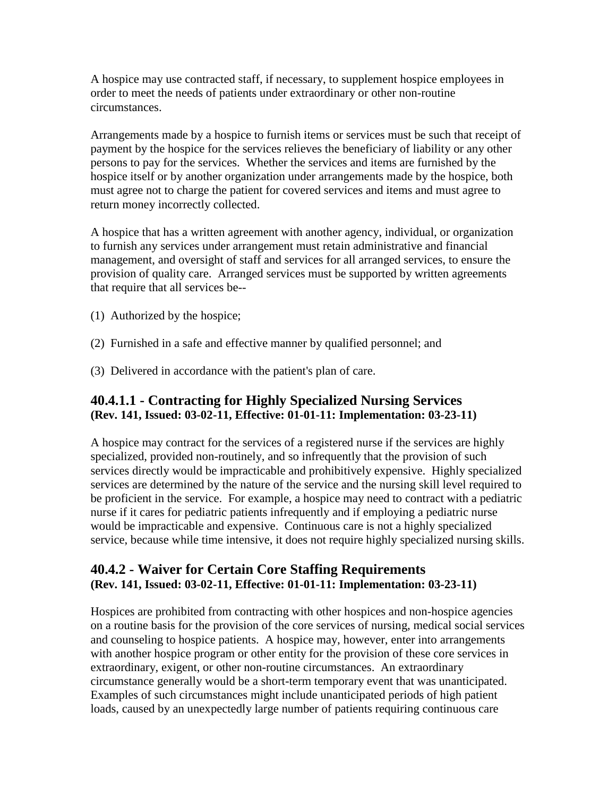A hospice may use contracted staff, if necessary, to supplement hospice employees in order to meet the needs of patients under extraordinary or other non-routine circumstances.

Arrangements made by a hospice to furnish items or services must be such that receipt of payment by the hospice for the services relieves the beneficiary of liability or any other persons to pay for the services. Whether the services and items are furnished by the hospice itself or by another organization under arrangements made by the hospice, both must agree not to charge the patient for covered services and items and must agree to return money incorrectly collected.

A hospice that has a written agreement with another agency, individual, or organization to furnish any services under arrangement must retain administrative and financial management, and oversight of staff and services for all arranged services, to ensure the provision of quality care. Arranged services must be supported by written agreements that require that all services be--

(1) Authorized by the hospice;

- (2) Furnished in a safe and effective manner by qualified personnel; and
- (3) Delivered in accordance with the patient's plan of care.

## <span id="page-22-0"></span>**40.4.1.1 - Contracting for Highly Specialized Nursing Services (Rev. 141, Issued: 03-02-11, Effective: 01-01-11: Implementation: 03-23-11)**

A hospice may contract for the services of a registered nurse if the services are highly specialized, provided non-routinely, and so infrequently that the provision of such services directly would be impracticable and prohibitively expensive. Highly specialized services are determined by the nature of the service and the nursing skill level required to be proficient in the service. For example, a hospice may need to contract with a pediatric nurse if it cares for pediatric patients infrequently and if employing a pediatric nurse would be impracticable and expensive. Continuous care is not a highly specialized service, because while time intensive, it does not require highly specialized nursing skills.

## <span id="page-22-1"></span>**40.4.2 - Waiver for Certain Core Staffing Requirements (Rev. 141, Issued: 03-02-11, Effective: 01-01-11: Implementation: 03-23-11)**

Hospices are prohibited from contracting with other hospices and non-hospice agencies on a routine basis for the provision of the core services of nursing, medical social services and counseling to hospice patients. A hospice may, however, enter into arrangements with another hospice program or other entity for the provision of these core services in extraordinary, exigent, or other non-routine circumstances. An extraordinary circumstance generally would be a short-term temporary event that was unanticipated. Examples of such circumstances might include unanticipated periods of high patient loads, caused by an unexpectedly large number of patients requiring continuous care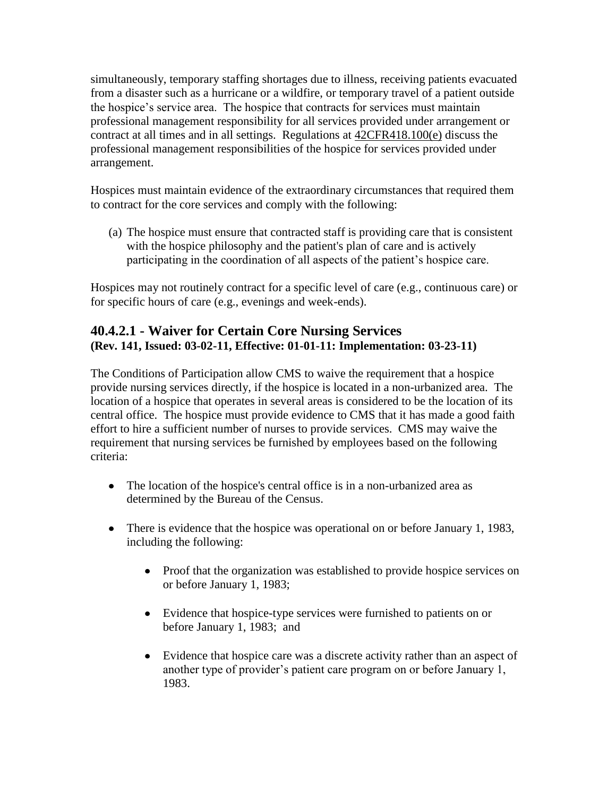simultaneously, temporary staffing shortages due to illness, receiving patients evacuated from a disaster such as a hurricane or a wildfire, or temporary travel of a patient outside the hospice's service area. The hospice that contracts for services must maintain professional management responsibility for all services provided under arrangement or contract at all times and in all settings. Regulations at [42CFR418.100\(e\)](http://ecfr.gpoaccess.gov/cgi/t/text/text-idx?c=ecfr&sid=3aa0892b6d185f004a37f538e4169406&rgn=div8&view=text&node=42:3.0.1.1.5.4.5.1&idno=42) discuss the professional management responsibilities of the hospice for services provided under arrangement.

Hospices must maintain evidence of the extraordinary circumstances that required them to contract for the core services and comply with the following:

(a) The hospice must ensure that contracted staff is providing care that is consistent with the hospice philosophy and the patient's plan of care and is actively participating in the coordination of all aspects of the patient's hospice care.

Hospices may not routinely contract for a specific level of care (e.g., continuous care) or for specific hours of care (e.g., evenings and week-ends).

# <span id="page-23-0"></span>**40.4.2.1 - Waiver for Certain Core Nursing Services (Rev. 141, Issued: 03-02-11, Effective: 01-01-11: Implementation: 03-23-11)**

The Conditions of Participation allow CMS to waive the requirement that a hospice provide nursing services directly, if the hospice is located in a non-urbanized area. The location of a hospice that operates in several areas is considered to be the location of its central office. The hospice must provide evidence to CMS that it has made a good faith effort to hire a sufficient number of nurses to provide services. CMS may waive the requirement that nursing services be furnished by employees based on the following criteria:

- The location of the hospice's central office is in a non-urbanized area as determined by the Bureau of the Census.
- There is evidence that the hospice was operational on or before January 1, 1983, including the following:
	- Proof that the organization was established to provide hospice services on or before January 1, 1983;
	- Evidence that hospice-type services were furnished to patients on or before January 1, 1983; and
	- $\bullet$ Evidence that hospice care was a discrete activity rather than an aspect of another type of provider's patient care program on or before January 1, 1983.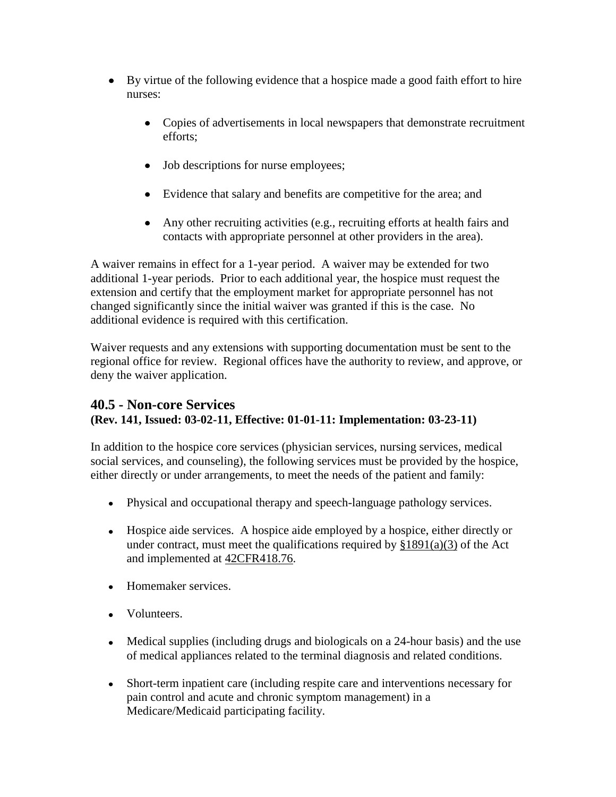- By virtue of the following evidence that a hospice made a good faith effort to hire nurses:
	- Copies of advertisements in local newspapers that demonstrate recruitment efforts;
	- Job descriptions for nurse employees;
	- Evidence that salary and benefits are competitive for the area; and
	- Any other recruiting activities (e.g., recruiting efforts at health fairs and contacts with appropriate personnel at other providers in the area).

A waiver remains in effect for a 1-year period. A waiver may be extended for two additional 1-year periods. Prior to each additional year, the hospice must request the extension and certify that the employment market for appropriate personnel has not changed significantly since the initial waiver was granted if this is the case. No additional evidence is required with this certification.

Waiver requests and any extensions with supporting documentation must be sent to the regional office for review. Regional offices have the authority to review, and approve, or deny the waiver application.

## <span id="page-24-0"></span>**40.5 - Non-core Services (Rev. 141, Issued: 03-02-11, Effective: 01-01-11: Implementation: 03-23-11)**

In addition to the hospice core services (physician services, nursing services, medical social services, and counseling), the following services must be provided by the hospice, either directly or under arrangements, to meet the needs of the patient and family:

- Physical and occupational therapy and speech-language pathology services.
- Hospice aide services. A hospice aide employed by a hospice, either directly or under contract, must meet the qualifications required by  $$1891(a)(3)$  of the Act and implemented at [42CFR418.76.](http://ecfr.gpoaccess.gov/cgi/t/text/text-idx?c=ecfr&sid=3aa0892b6d185f004a37f538e4169406&rgn=div8&view=text&node=42:3.0.1.1.5.3.4.12&idno=42)
- Homemaker services.
- Volunteers.
- Medical supplies (including drugs and biologicals on a 24-hour basis) and the use of medical appliances related to the terminal diagnosis and related conditions.
- Short-term inpatient care (including respite care and interventions necessary for pain control and acute and chronic symptom management) in a Medicare/Medicaid participating facility.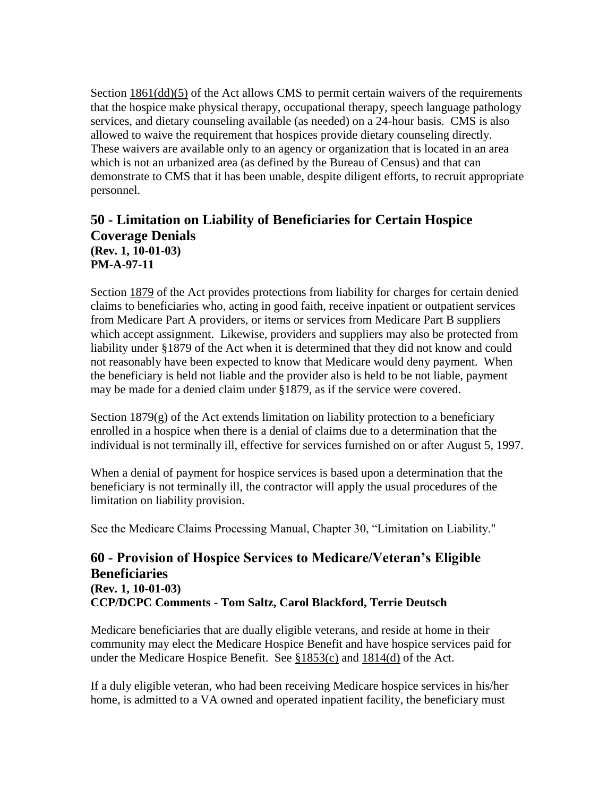Section  $1861\frac{dd}{5}$  of the Act allows CMS to permit certain waivers of the requirements that the hospice make physical therapy, occupational therapy, speech language pathology services, and dietary counseling available (as needed) on a 24-hour basis. CMS is also allowed to waive the requirement that hospices provide dietary counseling directly. These waivers are available only to an agency or organization that is located in an area which is not an urbanized area (as defined by the Bureau of Census) and that can demonstrate to CMS that it has been unable, despite diligent efforts, to recruit appropriate personnel.

## <span id="page-25-0"></span>**50 - Limitation on Liability of Beneficiaries for Certain Hospice Coverage Denials (Rev. 1, 10-01-03) PM-A-97-11**

Section [1879](http://www.cms.hhs.gov/regulations/) of the Act provides protections from liability for charges for certain denied claims to beneficiaries who, acting in good faith, receive inpatient or outpatient services from Medicare Part A providers, or items or services from Medicare Part B suppliers which accept assignment. Likewise, providers and suppliers may also be protected from liability under §1879 of the Act when it is determined that they did not know and could not reasonably have been expected to know that Medicare would deny payment. When the beneficiary is held not liable and the provider also is held to be not liable, payment may be made for a denied claim under §1879, as if the service were covered.

Section  $1879(g)$  of the Act extends limitation on liability protection to a beneficiary enrolled in a hospice when there is a denial of claims due to a determination that the individual is not terminally ill, effective for services furnished on or after August 5, 1997.

When a denial of payment for hospice services is based upon a determination that the beneficiary is not terminally ill, the contractor will apply the usual procedures of the limitation on liability provision.

See the Medicare Claims Processing Manual, Chapter 30, "Limitation on Liability."

## <span id="page-25-1"></span>**60 - Provision of Hospice Services to Medicare/Veteran's Eligible Beneficiaries (Rev. 1, 10-01-03) CCP/DCPC Comments - Tom Saltz, Carol Blackford, Terrie Deutsch**

Medicare beneficiaries that are dually eligible veterans, and reside at home in their community may elect the Medicare Hospice Benefit and have hospice services paid for under the Medicare Hospice Benefit. See [§1853\(c\)](http://www.cms.hhs.gov/regulations/) and [1814\(d\)](http://www.cms.hhs.gov/regulations/) of the Act.

If a duly eligible veteran, who had been receiving Medicare hospice services in his/her home, is admitted to a VA owned and operated inpatient facility, the beneficiary must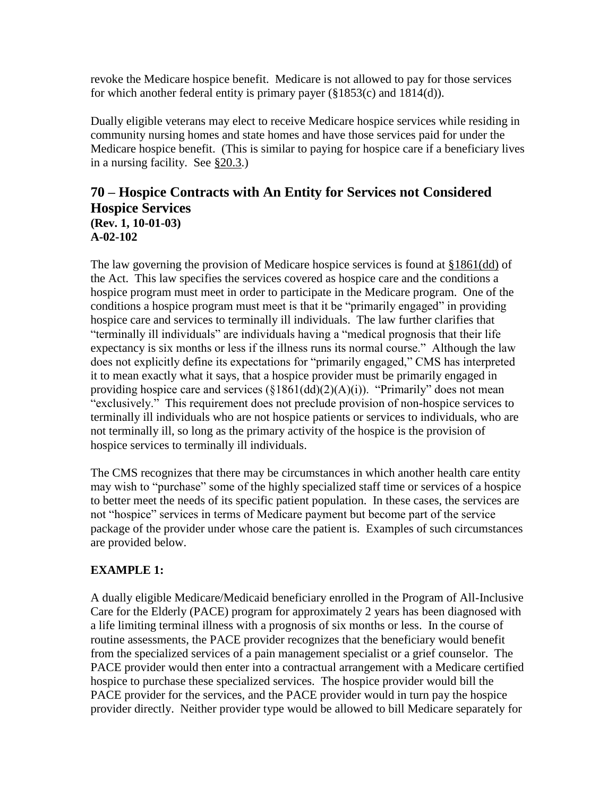revoke the Medicare hospice benefit. Medicare is not allowed to pay for those services for which another federal entity is primary payer (§1853(c) and 1814(d)).

Dually eligible veterans may elect to receive Medicare hospice services while residing in community nursing homes and state homes and have those services paid for under the Medicare hospice benefit. (This is similar to paying for hospice care if a beneficiary lives in a nursing facility. See [§20.3.](#page-8-0))

#### <span id="page-26-0"></span>**70 – Hospice Contracts with An Entity for Services not Considered Hospice Services (Rev. 1, 10-01-03) A-02-102**

The law governing the provision of Medicare hospice services is found at [§1861\(dd\)](http://www.cms.hhs.gov/regulations/) of the Act. This law specifies the services covered as hospice care and the conditions a hospice program must meet in order to participate in the Medicare program. One of the conditions a hospice program must meet is that it be "primarily engaged" in providing hospice care and services to terminally ill individuals. The law further clarifies that "terminally ill individuals" are individuals having a "medical prognosis that their life expectancy is six months or less if the illness runs its normal course." Although the law does not explicitly define its expectations for "primarily engaged," CMS has interpreted it to mean exactly what it says, that a hospice provider must be primarily engaged in providing hospice care and services  $(\{1861(\text{dd})(2)(\text{A})(i))$ . "Primarily" does not mean "exclusively." This requirement does not preclude provision of non-hospice services to terminally ill individuals who are not hospice patients or services to individuals, who are not terminally ill, so long as the primary activity of the hospice is the provision of hospice services to terminally ill individuals.

The CMS recognizes that there may be circumstances in which another health care entity may wish to "purchase" some of the highly specialized staff time or services of a hospice to better meet the needs of its specific patient population. In these cases, the services are not "hospice" services in terms of Medicare payment but become part of the service package of the provider under whose care the patient is. Examples of such circumstances are provided below.

## **EXAMPLE 1:**

A dually eligible Medicare/Medicaid beneficiary enrolled in the Program of All-Inclusive Care for the Elderly (PACE) program for approximately 2 years has been diagnosed with a life limiting terminal illness with a prognosis of six months or less. In the course of routine assessments, the PACE provider recognizes that the beneficiary would benefit from the specialized services of a pain management specialist or a grief counselor. The PACE provider would then enter into a contractual arrangement with a Medicare certified hospice to purchase these specialized services. The hospice provider would bill the PACE provider for the services, and the PACE provider would in turn pay the hospice provider directly. Neither provider type would be allowed to bill Medicare separately for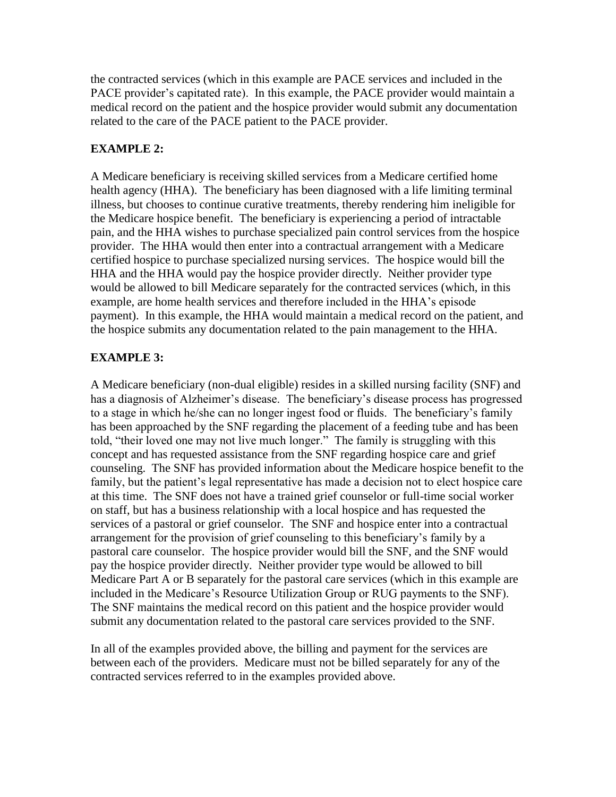the contracted services (which in this example are PACE services and included in the PACE provider's capitated rate). In this example, the PACE provider would maintain a medical record on the patient and the hospice provider would submit any documentation related to the care of the PACE patient to the PACE provider.

#### **EXAMPLE 2:**

A Medicare beneficiary is receiving skilled services from a Medicare certified home health agency (HHA). The beneficiary has been diagnosed with a life limiting terminal illness, but chooses to continue curative treatments, thereby rendering him ineligible for the Medicare hospice benefit. The beneficiary is experiencing a period of intractable pain, and the HHA wishes to purchase specialized pain control services from the hospice provider. The HHA would then enter into a contractual arrangement with a Medicare certified hospice to purchase specialized nursing services. The hospice would bill the HHA and the HHA would pay the hospice provider directly. Neither provider type would be allowed to bill Medicare separately for the contracted services (which, in this example, are home health services and therefore included in the HHA's episode payment). In this example, the HHA would maintain a medical record on the patient, and the hospice submits any documentation related to the pain management to the HHA.

## **EXAMPLE 3:**

A Medicare beneficiary (non-dual eligible) resides in a skilled nursing facility (SNF) and has a diagnosis of Alzheimer's disease. The beneficiary's disease process has progressed to a stage in which he/she can no longer ingest food or fluids. The beneficiary's family has been approached by the SNF regarding the placement of a feeding tube and has been told, "their loved one may not live much longer." The family is struggling with this concept and has requested assistance from the SNF regarding hospice care and grief counseling. The SNF has provided information about the Medicare hospice benefit to the family, but the patient's legal representative has made a decision not to elect hospice care at this time. The SNF does not have a trained grief counselor or full-time social worker on staff, but has a business relationship with a local hospice and has requested the services of a pastoral or grief counselor. The SNF and hospice enter into a contractual arrangement for the provision of grief counseling to this beneficiary's family by a pastoral care counselor. The hospice provider would bill the SNF, and the SNF would pay the hospice provider directly. Neither provider type would be allowed to bill Medicare Part A or B separately for the pastoral care services (which in this example are included in the Medicare's Resource Utilization Group or RUG payments to the SNF). The SNF maintains the medical record on this patient and the hospice provider would submit any documentation related to the pastoral care services provided to the SNF.

In all of the examples provided above, the billing and payment for the services are between each of the providers. Medicare must not be billed separately for any of the contracted services referred to in the examples provided above.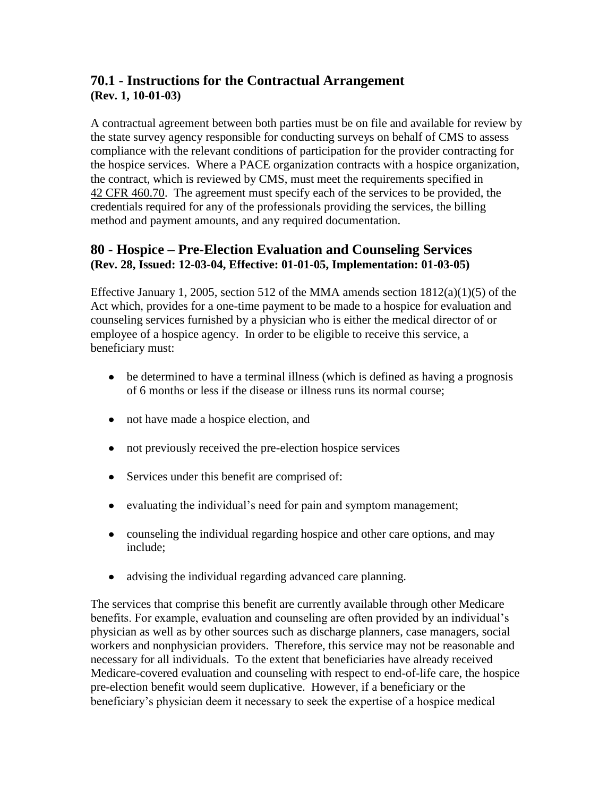# <span id="page-28-0"></span>**70.1 - Instructions for the Contractual Arrangement (Rev. 1, 10-01-03)**

A contractual agreement between both parties must be on file and available for review by the state survey agency responsible for conducting surveys on behalf of CMS to assess compliance with the relevant conditions of participation for the provider contracting for the hospice services. Where a PACE organization contracts with a hospice organization, the contract, which is reviewed by CMS, must meet the requirements specified in 42 CFR [460.70.](http://www.cms.hhs.gov/regulations/) The agreement must specify each of the services to be provided, the credentials required for any of the professionals providing the services, the billing method and payment amounts, and any required documentation.

## <span id="page-28-1"></span>**80 - Hospice – Pre-Election Evaluation and Counseling Services (Rev. 28, Issued: 12-03-04, Effective: 01-01-05, Implementation: 01-03-05)**

Effective January 1, 2005, section 512 of the MMA amends section  $1812(a)(1)(5)$  of the Act which, provides for a one-time payment to be made to a hospice for evaluation and counseling services furnished by a physician who is either the medical director of or employee of a hospice agency. In order to be eligible to receive this service, a beneficiary must:

- be determined to have a terminal illness (which is defined as having a prognosis of 6 months or less if the disease or illness runs its normal course;
- not have made a hospice election, and
- not previously received the pre-election hospice services
- Services under this benefit are comprised of:
- evaluating the individual's need for pain and symptom management;
- counseling the individual regarding hospice and other care options, and may include;
- $\bullet$ advising the individual regarding advanced care planning.

The services that comprise this benefit are currently available through other Medicare benefits. For example, evaluation and counseling are often provided by an individual's physician as well as by other sources such as discharge planners, case managers, social workers and nonphysician providers. Therefore, this service may not be reasonable and necessary for all individuals. To the extent that beneficiaries have already received Medicare-covered evaluation and counseling with respect to end-of-life care, the hospice pre-election benefit would seem duplicative. However, if a beneficiary or the beneficiary's physician deem it necessary to seek the expertise of a hospice medical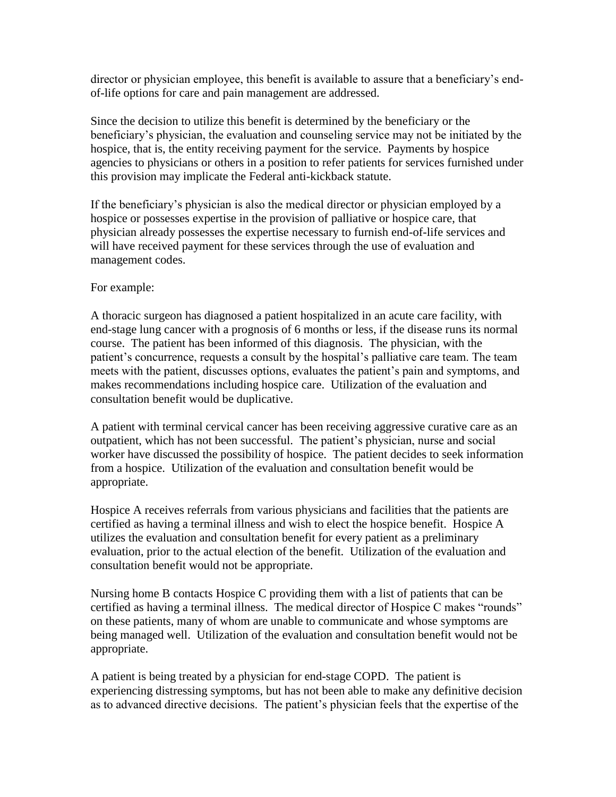director or physician employee, this benefit is available to assure that a beneficiary's endof-life options for care and pain management are addressed.

Since the decision to utilize this benefit is determined by the beneficiary or the beneficiary's physician, the evaluation and counseling service may not be initiated by the hospice, that is, the entity receiving payment for the service. Payments by hospice agencies to physicians or others in a position to refer patients for services furnished under this provision may implicate the Federal anti-kickback statute.

If the beneficiary's physician is also the medical director or physician employed by a hospice or possesses expertise in the provision of palliative or hospice care, that physician already possesses the expertise necessary to furnish end-of-life services and will have received payment for these services through the use of evaluation and management codes.

#### For example:

A thoracic surgeon has diagnosed a patient hospitalized in an acute care facility, with end-stage lung cancer with a prognosis of 6 months or less, if the disease runs its normal course. The patient has been informed of this diagnosis. The physician, with the patient's concurrence, requests a consult by the hospital's palliative care team. The team meets with the patient, discusses options, evaluates the patient's pain and symptoms, and makes recommendations including hospice care. Utilization of the evaluation and consultation benefit would be duplicative.

A patient with terminal cervical cancer has been receiving aggressive curative care as an outpatient, which has not been successful. The patient's physician, nurse and social worker have discussed the possibility of hospice. The patient decides to seek information from a hospice. Utilization of the evaluation and consultation benefit would be appropriate.

Hospice A receives referrals from various physicians and facilities that the patients are certified as having a terminal illness and wish to elect the hospice benefit. Hospice A utilizes the evaluation and consultation benefit for every patient as a preliminary evaluation, prior to the actual election of the benefit. Utilization of the evaluation and consultation benefit would not be appropriate.

Nursing home B contacts Hospice C providing them with a list of patients that can be certified as having a terminal illness. The medical director of Hospice C makes "rounds" on these patients, many of whom are unable to communicate and whose symptoms are being managed well. Utilization of the evaluation and consultation benefit would not be appropriate.

A patient is being treated by a physician for end-stage COPD. The patient is experiencing distressing symptoms, but has not been able to make any definitive decision as to advanced directive decisions. The patient's physician feels that the expertise of the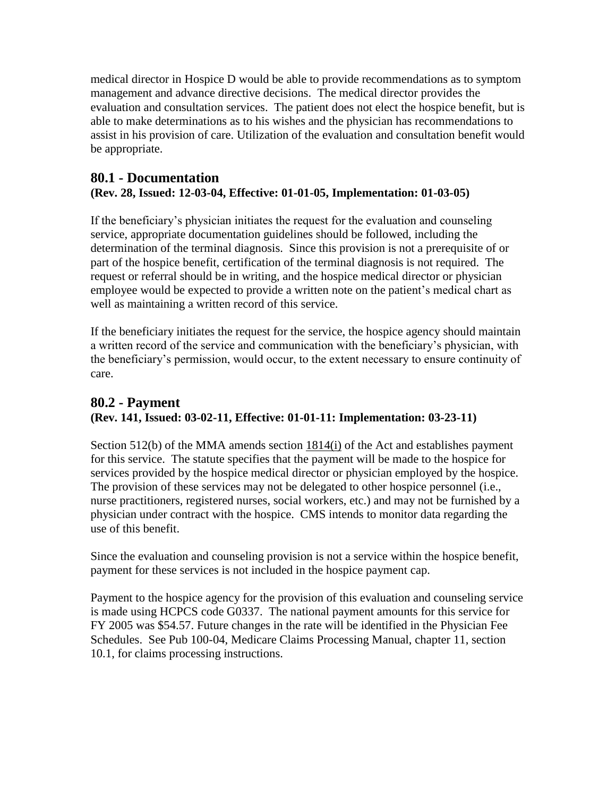medical director in Hospice D would be able to provide recommendations as to symptom management and advance directive decisions. The medical director provides the evaluation and consultation services. The patient does not elect the hospice benefit, but is able to make determinations as to his wishes and the physician has recommendations to assist in his provision of care. Utilization of the evaluation and consultation benefit would be appropriate.

# <span id="page-30-0"></span>**80.1 - Documentation**

## **(Rev. 28, Issued: 12-03-04, Effective: 01-01-05, Implementation: 01-03-05)**

If the beneficiary's physician initiates the request for the evaluation and counseling service, appropriate documentation guidelines should be followed, including the determination of the terminal diagnosis. Since this provision is not a prerequisite of or part of the hospice benefit, certification of the terminal diagnosis is not required. The request or referral should be in writing, and the hospice medical director or physician employee would be expected to provide a written note on the patient's medical chart as well as maintaining a written record of this service.

If the beneficiary initiates the request for the service, the hospice agency should maintain a written record of the service and communication with the beneficiary's physician, with the beneficiary's permission, would occur, to the extent necessary to ensure continuity of care.

## <span id="page-30-1"></span>**80.2 - Payment (Rev. 141, Issued: 03-02-11, Effective: 01-01-11: Implementation: 03-23-11)**

Section 512(b) of the MMA amends section [1814\(i\)](http://www.socialsecurity.gov/OP_Home/ssact/title18/1814.htm) of the Act and establishes payment for this service. The statute specifies that the payment will be made to the hospice for services provided by the hospice medical director or physician employed by the hospice. The provision of these services may not be delegated to other hospice personnel (i.e., nurse practitioners, registered nurses, social workers, etc.) and may not be furnished by a physician under contract with the hospice. CMS intends to monitor data regarding the use of this benefit.

Since the evaluation and counseling provision is not a service within the hospice benefit, payment for these services is not included in the hospice payment cap.

<span id="page-30-2"></span>Payment to the hospice agency for the provision of this evaluation and counseling service is made using HCPCS code G0337. The national payment amounts for this service for FY 2005 was \$54.57. Future changes in the rate will be identified in the Physician Fee Schedules. See Pub 100-04, Medicare Claims Processing Manual, chapter 11, section 10.1, for claims processing instructions.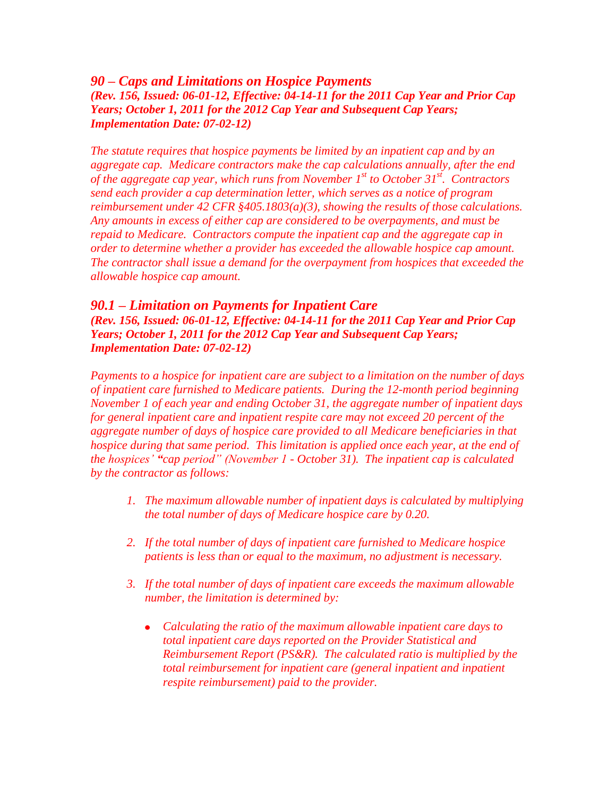#### *90 – Caps and Limitations on Hospice Payments (Rev. 156, Issued: 06-01-12, Effective: 04-14-11 for the 2011 Cap Year and Prior Cap Years; October 1, 2011 for the 2012 Cap Year and Subsequent Cap Years; Implementation Date: 07-02-12)*

*The statute requires that hospice payments be limited by an inpatient cap and by an aggregate cap. Medicare contractors make the cap calculations annually, after the end of the aggregate cap year, which runs from November 1st to October 31st. Contractors send each provider a cap determination letter, which serves as a notice of program reimbursement under 42 CFR §405.1803(a)(3), showing the results of those calculations. Any amounts in excess of either cap are considered to be overpayments, and must be repaid to Medicare. Contractors compute the inpatient cap and the aggregate cap in order to determine whether a provider has exceeded the allowable hospice cap amount. The contractor shall issue a demand for the overpayment from hospices that exceeded the allowable hospice cap amount.*

#### <span id="page-31-0"></span>*90.1 – Limitation on Payments for Inpatient Care (Rev. 156, Issued: 06-01-12, Effective: 04-14-11 for the 2011 Cap Year and Prior Cap Years; October 1, 2011 for the 2012 Cap Year and Subsequent Cap Years; Implementation Date: 07-02-12)*

*Payments to a hospice for inpatient care are subject to a limitation on the number of days of inpatient care furnished to Medicare patients. During the 12-month period beginning November 1 of each year and ending October 31, the aggregate number of inpatient days for general inpatient care and inpatient respite care may not exceed 20 percent of the aggregate number of days of hospice care provided to all Medicare beneficiaries in that hospice during that same period. This limitation is applied once each year, at the end of the hospices' "cap period‖ (November 1 - October 31). The inpatient cap is calculated by the contractor as follows:*

- *1. The maximum allowable number of inpatient days is calculated by multiplying the total number of days of Medicare hospice care by 0.20.*
- *2. If the total number of days of inpatient care furnished to Medicare hospice patients is less than or equal to the maximum, no adjustment is necessary.*
- *3. If the total number of days of inpatient care exceeds the maximum allowable number, the limitation is determined by:*
	- $\bullet$ *Calculating the ratio of the maximum allowable inpatient care days to total inpatient care days reported on the Provider Statistical and Reimbursement Report (PS&R). The calculated ratio is multiplied by the total reimbursement for inpatient care (general inpatient and inpatient respite reimbursement) paid to the provider.*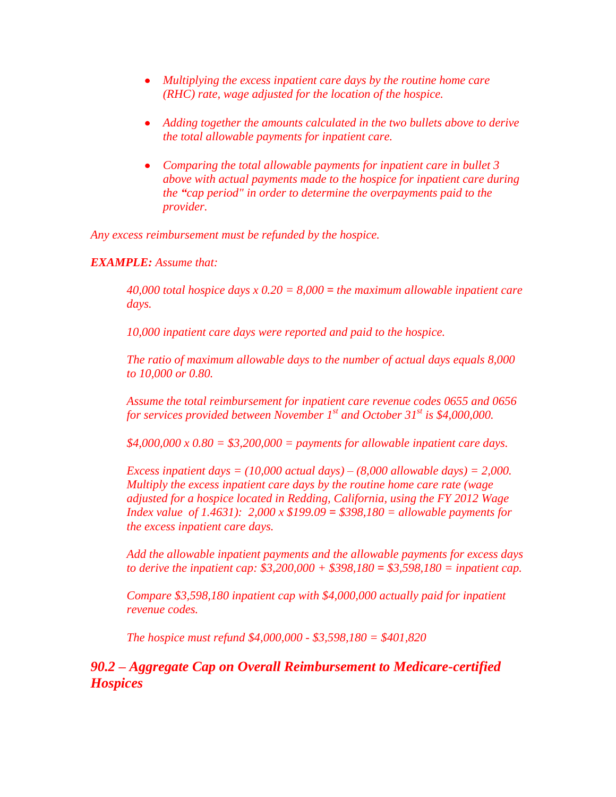- *Multiplying the excess inpatient care days by the routine home care (RHC) rate, wage adjusted for the location of the hospice.*
- *Adding together the amounts calculated in the two bullets above to derive the total allowable payments for inpatient care.*
- *Comparing the total allowable payments for inpatient care in bullet 3 above with actual payments made to the hospice for inpatient care during the "cap period" in order to determine the overpayments paid to the provider.*

*Any excess reimbursement must be refunded by the hospice.*

#### *EXAMPLE: Assume that:*

*40,000 total hospice days x 0.20 = 8,000 = the maximum allowable inpatient care days.*

*10,000 inpatient care days were reported and paid to the hospice.*

*The ratio of maximum allowable days to the number of actual days equals 8,000 to 10,000 or 0.80.*

*Assume the total reimbursement for inpatient care revenue codes 0655 and 0656 for services provided between November 1st and October 31st is \$4,000,000.*

*\$4,000,000 x 0.80 = \$3,200,000 = payments for allowable inpatient care days.*

*Excess inpatient days = (10,000 actual days) – (8,000 allowable days) = 2,000. Multiply the excess inpatient care days by the routine home care rate (wage adjusted for a hospice located in Redding, California, using the FY 2012 Wage Index value of 1.4631): 2,000 x \$199.09 = \$398,180 = allowable payments for the excess inpatient care days.*

*Add the allowable inpatient payments and the allowable payments for excess days to derive the inpatient cap: \$3,200,000 + \$398,180 = \$3,598,180 = inpatient cap.*

*Compare \$3,598,180 inpatient cap with \$4,000,000 actually paid for inpatient revenue codes.*

*The hospice must refund \$4,000,000 - \$3,598,180 = \$401,820*

#### <span id="page-32-0"></span>*90.2 – Aggregate Cap on Overall Reimbursement to Medicare-certified Hospices*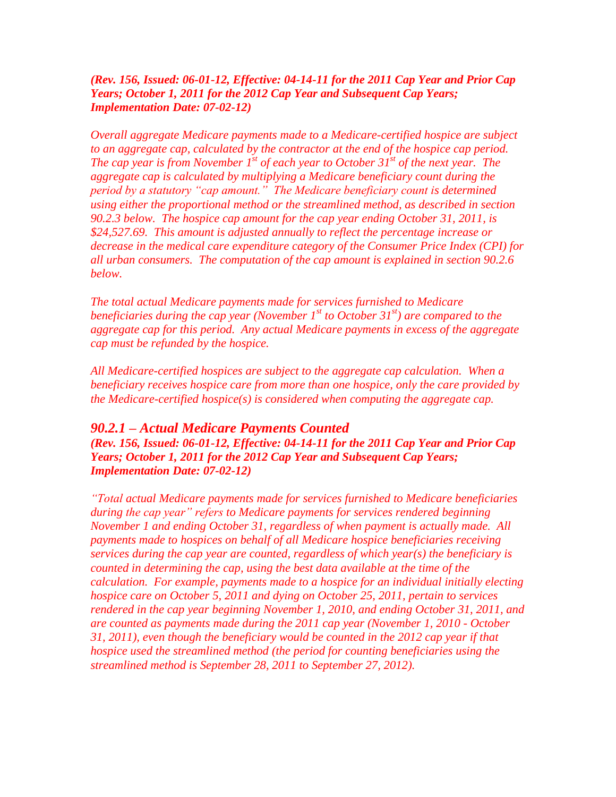#### *(Rev. 156, Issued: 06-01-12, Effective: 04-14-11 for the 2011 Cap Year and Prior Cap Years; October 1, 2011 for the 2012 Cap Year and Subsequent Cap Years; Implementation Date: 07-02-12)*

*Overall aggregate Medicare payments made to a Medicare-certified hospice are subject to an aggregate cap, calculated by the contractor at the end of the hospice cap period.*  The cap year is from November  $I^{st}$  of each year to October 31st of the next year. The *aggregate cap is calculated by multiplying a Medicare beneficiary count during the*  period by a statutory "cap amount." The Medicare beneficiary count is determined *using either the proportional method or the streamlined method, as described in section 90.2.3 below. The hospice cap amount for the cap year ending October 31, 2011, is \$24,527.69. This amount is adjusted annually to reflect the percentage increase or decrease in the medical care expenditure category of the Consumer Price Index (CPI) for all urban consumers. The computation of the cap amount is explained in section 90.2.6 below.*

*The total actual Medicare payments made for services furnished to Medicare beneficiaries during the cap year (November 1st to October 31st) are compared to the aggregate cap for this period. Any actual Medicare payments in excess of the aggregate cap must be refunded by the hospice.*

*All Medicare-certified hospices are subject to the aggregate cap calculation. When a beneficiary receives hospice care from more than one hospice, only the care provided by the Medicare-certified hospice(s) is considered when computing the aggregate cap.*

#### <span id="page-33-0"></span>*90.2.1 – Actual Medicare Payments Counted*

*(Rev. 156, Issued: 06-01-12, Effective: 04-14-11 for the 2011 Cap Year and Prior Cap Years; October 1, 2011 for the 2012 Cap Year and Subsequent Cap Years; Implementation Date: 07-02-12)*

*―Total actual Medicare payments made for services furnished to Medicare beneficiaries during the cap year‖ refers to Medicare payments for services rendered beginning November 1 and ending October 31, regardless of when payment is actually made. All payments made to hospices on behalf of all Medicare hospice beneficiaries receiving services during the cap year are counted, regardless of which year(s) the beneficiary is counted in determining the cap, using the best data available at the time of the calculation. For example, payments made to a hospice for an individual initially electing hospice care on October 5, 2011 and dying on October 25, 2011, pertain to services rendered in the cap year beginning November 1, 2010, and ending October 31, 2011, and are counted as payments made during the 2011 cap year (November 1, 2010 - October 31, 2011), even though the beneficiary would be counted in the 2012 cap year if that hospice used the streamlined method (the period for counting beneficiaries using the streamlined method is September 28, 2011 to September 27, 2012).*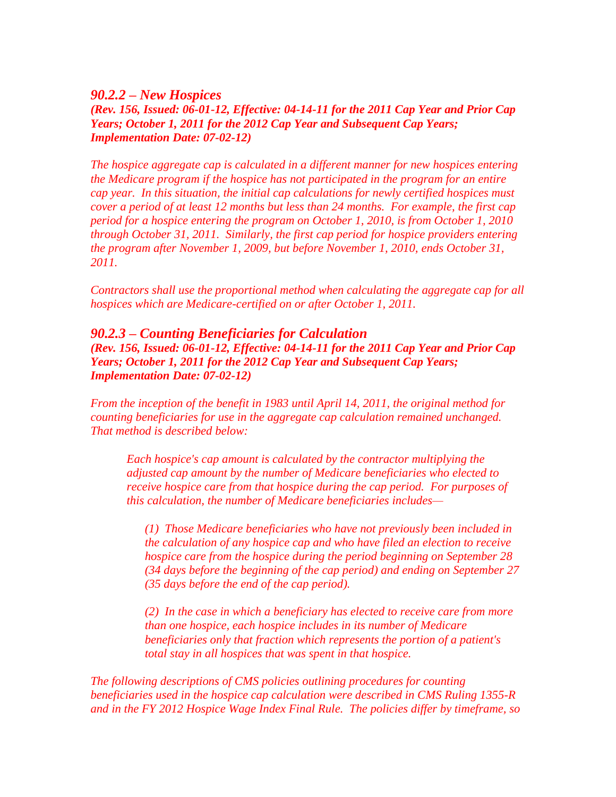#### <span id="page-34-0"></span>*90.2.2 – New Hospices*

#### *(Rev. 156, Issued: 06-01-12, Effective: 04-14-11 for the 2011 Cap Year and Prior Cap Years; October 1, 2011 for the 2012 Cap Year and Subsequent Cap Years; Implementation Date: 07-02-12)*

*The hospice aggregate cap is calculated in a different manner for new hospices entering the Medicare program if the hospice has not participated in the program for an entire cap year. In this situation, the initial cap calculations for newly certified hospices must cover a period of at least 12 months but less than 24 months. For example, the first cap period for a hospice entering the program on October 1, 2010, is from October 1, 2010 through October 31, 2011. Similarly, the first cap period for hospice providers entering the program after November 1, 2009, but before November 1, 2010, ends October 31, 2011.*

*Contractors shall use the proportional method when calculating the aggregate cap for all hospices which are Medicare-certified on or after October 1, 2011.*

# <span id="page-34-1"></span>*90.2.3 – Counting Beneficiaries for Calculation*

*(Rev. 156, Issued: 06-01-12, Effective: 04-14-11 for the 2011 Cap Year and Prior Cap Years; October 1, 2011 for the 2012 Cap Year and Subsequent Cap Years; Implementation Date: 07-02-12)*

*From the inception of the benefit in 1983 until April 14, 2011, the original method for counting beneficiaries for use in the aggregate cap calculation remained unchanged. That method is described below:*

*Each hospice's cap amount is calculated by the contractor multiplying the adjusted cap amount by the number of Medicare beneficiaries who elected to receive hospice care from that hospice during the cap period. For purposes of this calculation, the number of Medicare beneficiaries includes—*

*(1) Those Medicare beneficiaries who have not previously been included in the calculation of any hospice cap and who have filed an election to receive hospice care from the hospice during the period beginning on September 28 (34 days before the beginning of the cap period) and ending on September 27 (35 days before the end of the cap period).*

*(2) In the case in which a beneficiary has elected to receive care from more than one hospice, each hospice includes in its number of Medicare beneficiaries only that fraction which represents the portion of a patient's total stay in all hospices that was spent in that hospice.*

*The following descriptions of CMS policies outlining procedures for counting beneficiaries used in the hospice cap calculation were described in CMS Ruling 1355-R and in the FY 2012 Hospice Wage Index Final Rule. The policies differ by timeframe, so*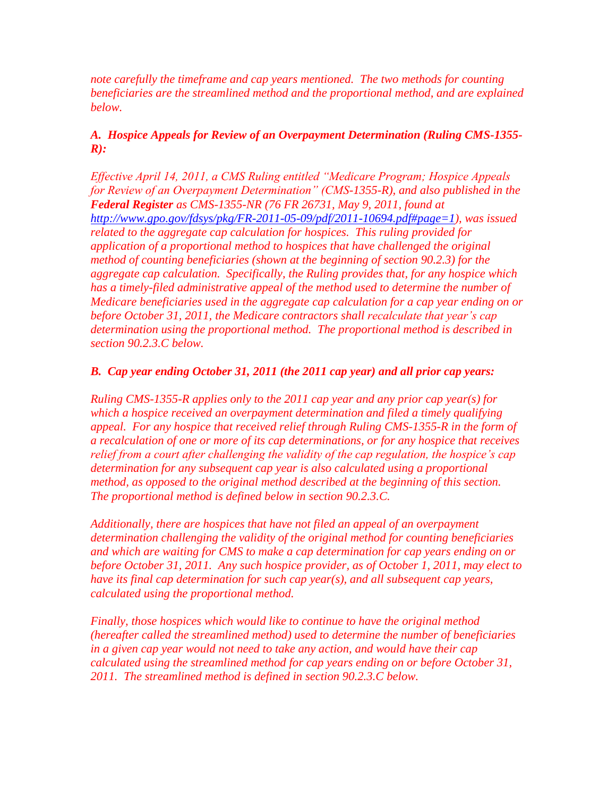*note carefully the timeframe and cap years mentioned. The two methods for counting beneficiaries are the streamlined method and the proportional method, and are explained below.*

#### *A. Hospice Appeals for Review of an Overpayment Determination (Ruling CMS-1355- R):*

*Effective April 14, 2011, a CMS Ruling entitled ―Medicare Program; Hospice Appeals for Review of an Overpayment Determination*" (CMS-1355-R), and also published in the *Federal Register as CMS-1355-NR (76 FR 26731, May 9, 2011, found at [http://www.gpo.gov/fdsys/pkg/FR-2011-05-09/pdf/2011-10694.pdf#page=1\)](http://www.gpo.gov/fdsys/pkg/FR-2011-05-09/pdf/2011-10694.pdf#page=1), was issued related to the aggregate cap calculation for hospices. This ruling provided for application of a proportional method to hospices that have challenged the original method of counting beneficiaries (shown at the beginning of section 90.2.3) for the aggregate cap calculation. Specifically, the Ruling provides that, for any hospice which*  has a timely-filed administrative appeal of the method used to determine the number of *Medicare beneficiaries used in the aggregate cap calculation for a cap year ending on or before October 31, 2011, the Medicare contractors shall recalculate that year's cap determination using the proportional method. The proportional method is described in section 90.2.3.C below.*

#### *B. Cap year ending October 31, 2011 (the 2011 cap year) and all prior cap years:*

*Ruling CMS-1355-R applies only to the 2011 cap year and any prior cap year(s) for which a hospice received an overpayment determination and filed a timely qualifying appeal. For any hospice that received relief through Ruling CMS-1355-R in the form of a recalculation of one or more of its cap determinations, or for any hospice that receives relief from a court after challenging the validity of the cap regulation, the hospice's cap determination for any subsequent cap year is also calculated using a proportional method, as opposed to the original method described at the beginning of this section. The proportional method is defined below in section 90.2.3.C.*

*Additionally, there are hospices that have not filed an appeal of an overpayment determination challenging the validity of the original method for counting beneficiaries*  and which are waiting for CMS to make a cap determination for cap years ending on or *before October 31, 2011. Any such hospice provider, as of October 1, 2011, may elect to have its final cap determination for such cap year(s), and all subsequent cap years, calculated using the proportional method.*

*Finally, those hospices which would like to continue to have the original method (hereafter called the streamlined method) used to determine the number of beneficiaries in a given cap year would not need to take any action, and would have their cap calculated using the streamlined method for cap years ending on or before October 31, 2011. The streamlined method is defined in section 90.2.3.C below.*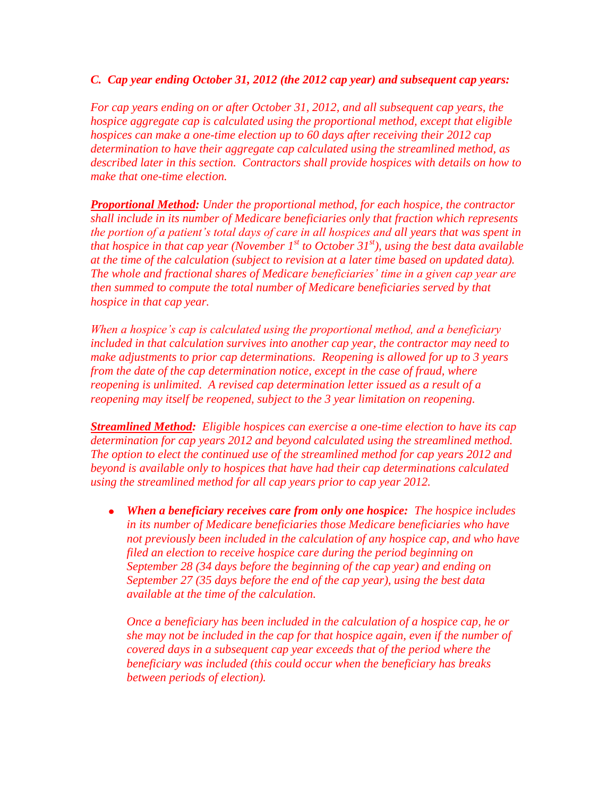#### *C. Cap year ending October 31, 2012 (the 2012 cap year) and subsequent cap years:*

*For cap years ending on or after October 31, 2012, and all subsequent cap years, the hospice aggregate cap is calculated using the proportional method, except that eligible hospices can make a one-time election up to 60 days after receiving their 2012 cap determination to have their aggregate cap calculated using the streamlined method, as described later in this section. Contractors shall provide hospices with details on how to make that one-time election.*

*Proportional Method: Under the proportional method, for each hospice, the contractor shall include in its number of Medicare beneficiaries only that fraction which represents the portion of a patient's total days of care in all hospices and all years that was spent in that hospice in that cap year (November 1st to October 31st), using the best data available at the time of the calculation (subject to revision at a later time based on updated data). The whole and fractional shares of Medicare beneficiaries' time in a given cap year are then summed to compute the total number of Medicare beneficiaries served by that hospice in that cap year.*

*When a hospice's cap is calculated using the proportional method, and a beneficiary included in that calculation survives into another cap year, the contractor may need to make adjustments to prior cap determinations. Reopening is allowed for up to 3 years from the date of the cap determination notice, except in the case of fraud, where reopening is unlimited. A revised cap determination letter issued as a result of a reopening may itself be reopened, subject to the 3 year limitation on reopening.*

*Streamlined Method: Eligible hospices can exercise a one-time election to have its cap determination for cap years 2012 and beyond calculated using the streamlined method. The option to elect the continued use of the streamlined method for cap years 2012 and beyond is available only to hospices that have had their cap determinations calculated using the streamlined method for all cap years prior to cap year 2012.*

*When a beneficiary receives care from only one hospice: The hospice includes in its number of Medicare beneficiaries those Medicare beneficiaries who have not previously been included in the calculation of any hospice cap, and who have filed an election to receive hospice care during the period beginning on September 28 (34 days before the beginning of the cap year) and ending on September 27 (35 days before the end of the cap year), using the best data available at the time of the calculation.*

*Once a beneficiary has been included in the calculation of a hospice cap, he or she may not be included in the cap for that hospice again, even if the number of covered days in a subsequent cap year exceeds that of the period where the beneficiary was included (this could occur when the beneficiary has breaks between periods of election).*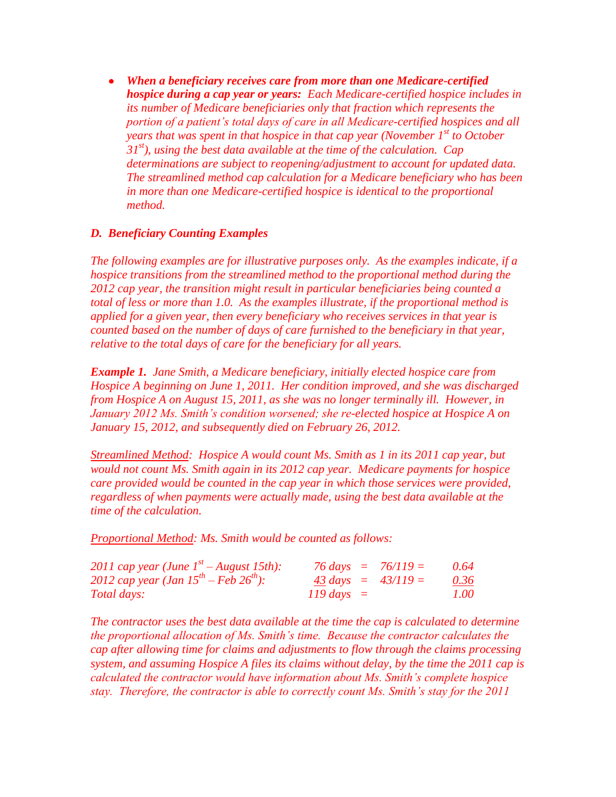*When a beneficiary receives care from more than one Medicare-certified*   $\bullet$ *hospice during a cap year or years: Each Medicare-certified hospice includes in its number of Medicare beneficiaries only that fraction which represents the portion of a patient's total days of care in all Medicare-certified hospices and all years that was spent in that hospice in that cap year (November 1st to October 31st), using the best data available at the time of the calculation. Cap determinations are subject to reopening/adjustment to account for updated data. The streamlined method cap calculation for a Medicare beneficiary who has been in more than one Medicare-certified hospice is identical to the proportional method.*

#### *D. Beneficiary Counting Examples*

*The following examples are for illustrative purposes only. As the examples indicate, if a hospice transitions from the streamlined method to the proportional method during the 2012 cap year, the transition might result in particular beneficiaries being counted a total of less or more than 1.0. As the examples illustrate, if the proportional method is applied for a given year, then every beneficiary who receives services in that year is counted based on the number of days of care furnished to the beneficiary in that year, relative to the total days of care for the beneficiary for all years.*

*Example 1. Jane Smith, a Medicare beneficiary, initially elected hospice care from Hospice A beginning on June 1, 2011. Her condition improved, and she was discharged from Hospice A on August 15, 2011, as she was no longer terminally ill. However, in January 2012 Ms. Smith's condition worsened; she re-elected hospice at Hospice A on January 15, 2012, and subsequently died on February 26, 2012.*

*Streamlined Method: Hospice A would count Ms. Smith as 1 in its 2011 cap year, but would not count Ms. Smith again in its 2012 cap year. Medicare payments for hospice care provided would be counted in the cap year in which those services were provided, regardless of when payments were actually made, using the best data available at the time of the calculation.*

*Proportional Method: Ms. Smith would be counted as follows:*

| 2011 cap year (June $I^{st}$ – August 15th):    | $76 \text{ days} = 76/119 =$ | 0.64 |
|-------------------------------------------------|------------------------------|------|
| 2012 cap year (Jan $15^{th}$ – Feb $26^{th}$ ): | $43 \text{ days} = 43/119 =$ | 0.36 |
| Total days:                                     | $119 \text{ days} =$         | 1.00 |

*The contractor uses the best data available at the time the cap is calculated to determine the proportional allocation of Ms. Smith's time. Because the contractor calculates the cap after allowing time for claims and adjustments to flow through the claims processing system, and assuming Hospice A files its claims without delay, by the time the 2011 cap is calculated the contractor would have information about Ms. Smith's complete hospice stay. Therefore, the contractor is able to correctly count Ms. Smith's stay for the 2011*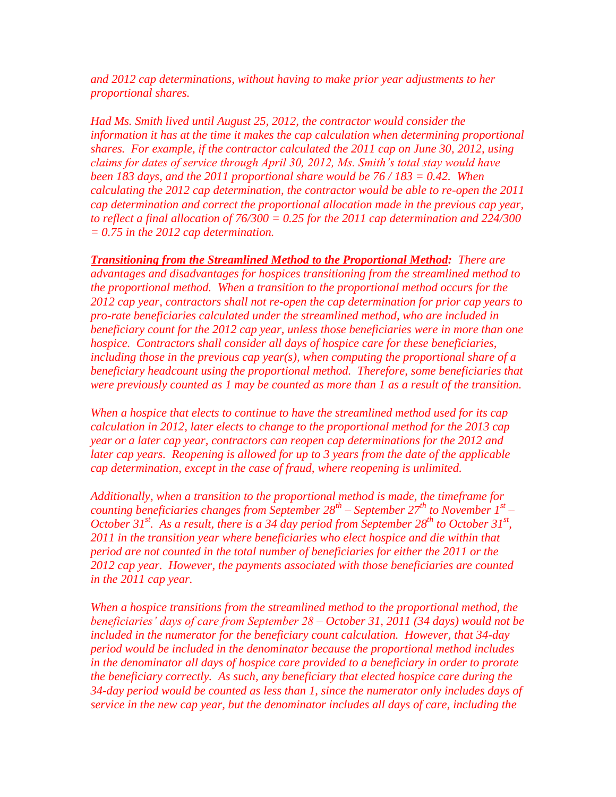*and 2012 cap determinations, without having to make prior year adjustments to her proportional shares.*

*Had Ms. Smith lived until August 25, 2012, the contractor would consider the information it has at the time it makes the cap calculation when determining proportional shares. For example, if the contractor calculated the 2011 cap on June 30, 2012, using claims for dates of service through April 30, 2012, Ms. Smith's total stay would have been 183 days, and the 2011 proportional share would be 76 / 183 = 0.42. When calculating the 2012 cap determination, the contractor would be able to re-open the 2011 cap determination and correct the proportional allocation made in the previous cap year, to reflect a final allocation of 76/300 = 0.25 for the 2011 cap determination and 224/300 = 0.75 in the 2012 cap determination.*

*Transitioning from the Streamlined Method to the Proportional Method: There are advantages and disadvantages for hospices transitioning from the streamlined method to the proportional method. When a transition to the proportional method occurs for the 2012 cap year, contractors shall not re-open the cap determination for prior cap years to pro-rate beneficiaries calculated under the streamlined method, who are included in beneficiary count for the 2012 cap year, unless those beneficiaries were in more than one hospice. Contractors shall consider all days of hospice care for these beneficiaries, including those in the previous cap year(s), when computing the proportional share of a beneficiary headcount using the proportional method. Therefore, some beneficiaries that were previously counted as 1 may be counted as more than 1 as a result of the transition.*

*When a hospice that elects to continue to have the streamlined method used for its cap calculation in 2012, later elects to change to the proportional method for the 2013 cap year or a later cap year, contractors can reopen cap determinations for the 2012 and later cap years. Reopening is allowed for up to 3 years from the date of the applicable cap determination, except in the case of fraud, where reopening is unlimited.*

*Additionally, when a transition to the proportional method is made, the timeframe for counting beneficiaries changes from September 28th – September 27th to November 1st – October 31st. As a result, there is a 34 day period from September 28th to October 31st , 2011 in the transition year where beneficiaries who elect hospice and die within that period are not counted in the total number of beneficiaries for either the 2011 or the 2012 cap year. However, the payments associated with those beneficiaries are counted in the 2011 cap year.*

*When a hospice transitions from the streamlined method to the proportional method, the beneficiaries' days of care from September 28 – October 31, 2011 (34 days) would not be included in the numerator for the beneficiary count calculation. However, that 34-day period would be included in the denominator because the proportional method includes in the denominator all days of hospice care provided to a beneficiary in order to prorate the beneficiary correctly. As such, any beneficiary that elected hospice care during the 34-day period would be counted as less than 1, since the numerator only includes days of service in the new cap year, but the denominator includes all days of care, including the*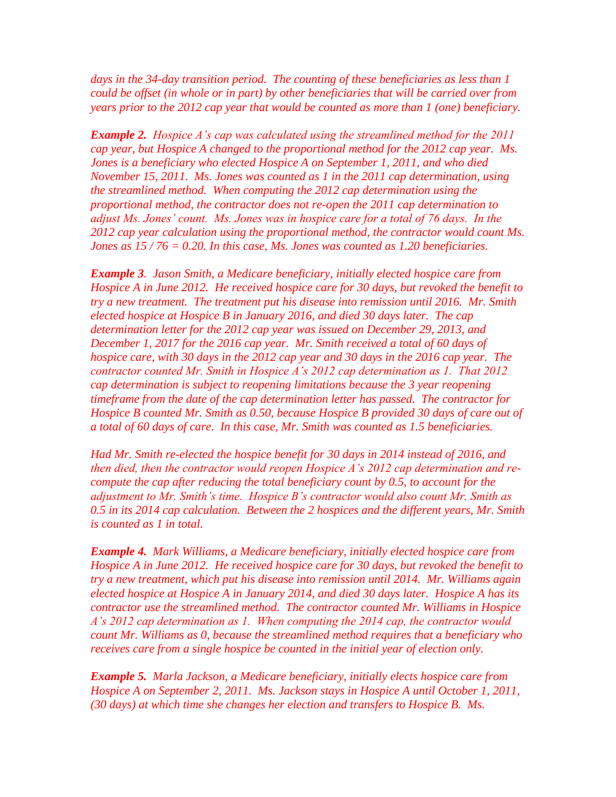*days in the 34-day transition period. The counting of these beneficiaries as less than 1 could be offset (in whole or in part) by other beneficiaries that will be carried over from years prior to the 2012 cap year that would be counted as more than 1 (one) beneficiary.*

*Example 2. Hospice A's cap was calculated using the streamlined method for the 2011 cap year, but Hospice A changed to the proportional method for the 2012 cap year. Ms. Jones is a beneficiary who elected Hospice A on September 1, 2011, and who died November 15, 2011. Ms. Jones was counted as 1 in the 2011 cap determination, using the streamlined method. When computing the 2012 cap determination using the proportional method, the contractor does not re-open the 2011 cap determination to adjust Ms. Jones' count. Ms. Jones was in hospice care for a total of 76 days. In the 2012 cap year calculation using the proportional method, the contractor would count Ms. Jones as 15 / 76 = 0.20. In this case, Ms. Jones was counted as 1.20 beneficiaries.*

*Example 3. Jason Smith, a Medicare beneficiary, initially elected hospice care from Hospice A in June 2012. He received hospice care for 30 days, but revoked the benefit to try a new treatment. The treatment put his disease into remission until 2016. Mr. Smith elected hospice at Hospice B in January 2016, and died 30 days later. The cap determination letter for the 2012 cap year was issued on December 29, 2013, and December 1, 2017 for the 2016 cap year. Mr. Smith received a total of 60 days of hospice care, with 30 days in the 2012 cap year and 30 days in the 2016 cap year. The contractor counted Mr. Smith in Hospice A's 2012 cap determination as 1. That 2012 cap determination is subject to reopening limitations because the 3 year reopening timeframe from the date of the cap determination letter has passed. The contractor for Hospice B counted Mr. Smith as 0.50, because Hospice B provided 30 days of care out of a total of 60 days of care. In this case, Mr. Smith was counted as 1.5 beneficiaries.*

*Had Mr. Smith re-elected the hospice benefit for 30 days in 2014 instead of 2016, and then died, then the contractor would reopen Hospice A's 2012 cap determination and recompute the cap after reducing the total beneficiary count by 0.5, to account for the adjustment to Mr. Smith's time. Hospice B's contractor would also count Mr. Smith as 0.5 in its 2014 cap calculation. Between the 2 hospices and the different years, Mr. Smith is counted as 1 in total.*

*Example 4. Mark Williams, a Medicare beneficiary, initially elected hospice care from Hospice A in June 2012. He received hospice care for 30 days, but revoked the benefit to try a new treatment, which put his disease into remission until 2014. Mr. Williams again elected hospice at Hospice A in January 2014, and died 30 days later. Hospice A has its contractor use the streamlined method. The contractor counted Mr. Williams in Hospice A's 2012 cap determination as 1. When computing the 2014 cap, the contractor would count Mr. Williams as 0, because the streamlined method requires that a beneficiary who receives care from a single hospice be counted in the initial year of election only.*

*Example 5. Marla Jackson, a Medicare beneficiary, initially elects hospice care from Hospice A on September 2, 2011. Ms. Jackson stays in Hospice A until October 1, 2011, (30 days) at which time she changes her election and transfers to Hospice B. Ms.*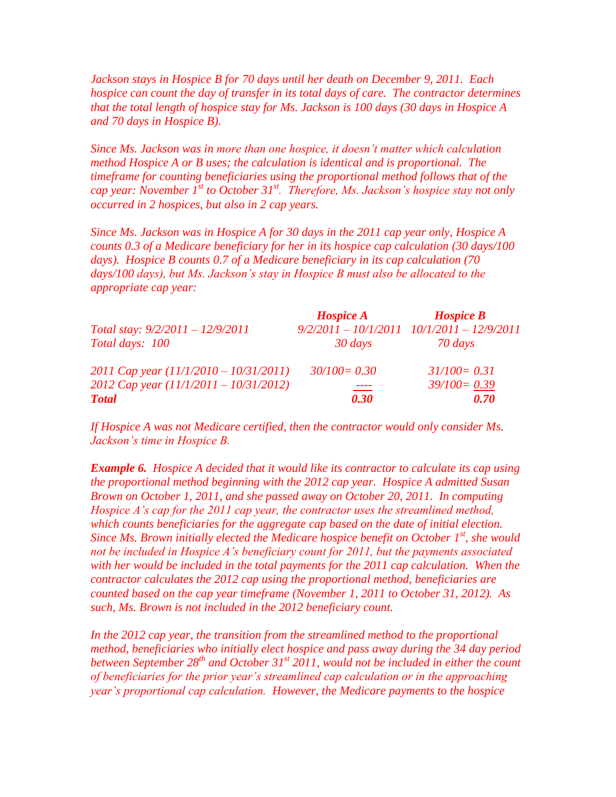*Jackson stays in Hospice B for 70 days until her death on December 9, 2011. Each hospice can count the day of transfer in its total days of care. The contractor determines that the total length of hospice stay for Ms. Jackson is 100 days (30 days in Hospice A and 70 days in Hospice B).*

*Since Ms. Jackson was in more than one hospice, it doesn't matter which calculation method Hospice A or B uses; the calculation is identical and is proportional. The timeframe for counting beneficiaries using the proportional method follows that of the cap year: November 1st to October 31st. Therefore, Ms. Jackson's hospice stay not only occurred in 2 hospices, but also in 2 cap years.*

*Since Ms. Jackson was in Hospice A for 30 days in the 2011 cap year only, Hospice A counts 0.3 of a Medicare beneficiary for her in its hospice cap calculation (30 days/100 days). Hospice B counts 0.7 of a Medicare beneficiary in its cap calculation (70 days/100 days), but Ms. Jackson's stay in Hospice B must also be allocated to the appropriate cap year:*

|                                          | <b>Hospice A</b> | <b>Hospice B</b>                               |
|------------------------------------------|------------------|------------------------------------------------|
| Total stay: $9/2/2011 - 12/9/2011$       |                  | $9/2/2011 - 10/1/2011 - 10/1/2011 - 12/9/2011$ |
| Total days: 100                          | $30 \, days$     | $70 \, days$                                   |
| 2011 Cap year $(11/1/2010 - 10/31/2011)$ | $30/100 = 0.30$  | $31/100 = 0.31$                                |
| 2012 Cap year $(11/1/2011 - 10/31/2012)$ |                  | $39/100 = 0.39$                                |
| <b>Total</b>                             | 0.30             | 0.70                                           |

*If Hospice A was not Medicare certified, then the contractor would only consider Ms. Jackson's time in Hospice B.*

*Example 6. Hospice A decided that it would like its contractor to calculate its cap using the proportional method beginning with the 2012 cap year. Hospice A admitted Susan Brown on October 1, 2011, and she passed away on October 20, 2011. In computing Hospice A's cap for the 2011 cap year, the contractor uses the streamlined method, which counts beneficiaries for the aggregate cap based on the date of initial election. Since Ms. Brown initially elected the Medicare hospice benefit on October 1st, she would not be included in Hospice A's beneficiary count for 2011, but the payments associated with her would be included in the total payments for the 2011 cap calculation. When the contractor calculates the 2012 cap using the proportional method, beneficiaries are counted based on the cap year timeframe (November 1, 2011 to October 31, 2012). As such, Ms. Brown is not included in the 2012 beneficiary count.*

In the 2012 cap year, the transition from the streamlined method to the proportional *method, beneficiaries who initially elect hospice and pass away during the 34 day period between September 28th and October 31st 2011, would not be included in either the count of beneficiaries for the prior year's streamlined cap calculation or in the approaching year's proportional cap calculation. However, the Medicare payments to the hospice*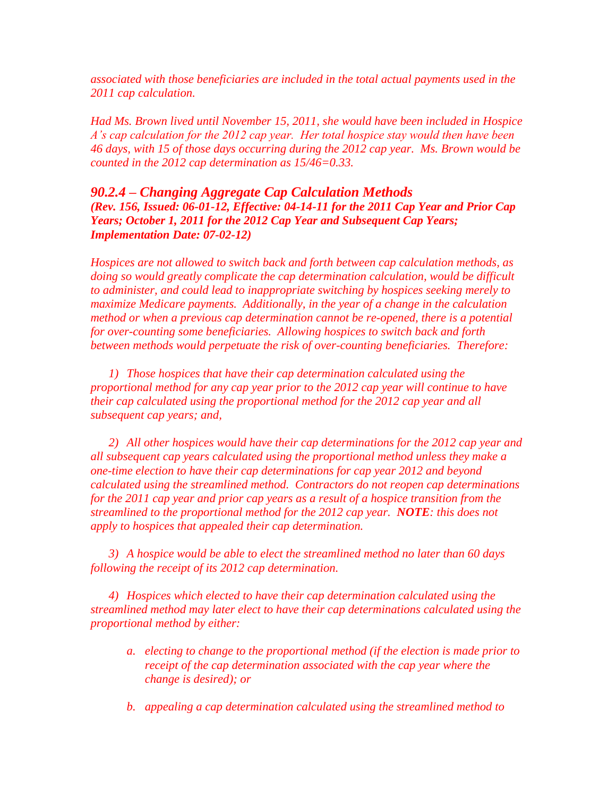*associated with those beneficiaries are included in the total actual payments used in the 2011 cap calculation.*

*Had Ms. Brown lived until November 15, 2011, she would have been included in Hospice A's cap calculation for the 2012 cap year. Her total hospice stay would then have been 46 days, with 15 of those days occurring during the 2012 cap year. Ms. Brown would be counted in the 2012 cap determination as 15/46=0.33.*

#### <span id="page-41-0"></span>*90.2.4 – Changing Aggregate Cap Calculation Methods (Rev. 156, Issued: 06-01-12, Effective: 04-14-11 for the 2011 Cap Year and Prior Cap Years; October 1, 2011 for the 2012 Cap Year and Subsequent Cap Years; Implementation Date: 07-02-12)*

*Hospices are not allowed to switch back and forth between cap calculation methods, as*  doing so would greatly complicate the cap determination calculation, would be difficult *to administer, and could lead to inappropriate switching by hospices seeking merely to maximize Medicare payments. Additionally, in the year of a change in the calculation method or when a previous cap determination cannot be re-opened, there is a potential for over-counting some beneficiaries. Allowing hospices to switch back and forth between methods would perpetuate the risk of over-counting beneficiaries. Therefore:*

*1) Those hospices that have their cap determination calculated using the proportional method for any cap year prior to the 2012 cap year will continue to have their cap calculated using the proportional method for the 2012 cap year and all subsequent cap years; and,*

*2) All other hospices would have their cap determinations for the 2012 cap year and all subsequent cap years calculated using the proportional method unless they make a one-time election to have their cap determinations for cap year 2012 and beyond calculated using the streamlined method. Contractors do not reopen cap determinations for the 2011 cap year and prior cap years as a result of a hospice transition from the streamlined to the proportional method for the 2012 cap year. NOTE: this does not apply to hospices that appealed their cap determination.*

*3) A hospice would be able to elect the streamlined method no later than 60 days following the receipt of its 2012 cap determination.*

*4) Hospices which elected to have their cap determination calculated using the streamlined method may later elect to have their cap determinations calculated using the proportional method by either:*

- *a. electing to change to the proportional method (if the election is made prior to receipt of the cap determination associated with the cap year where the change is desired); or*
- *b. appealing a cap determination calculated using the streamlined method to*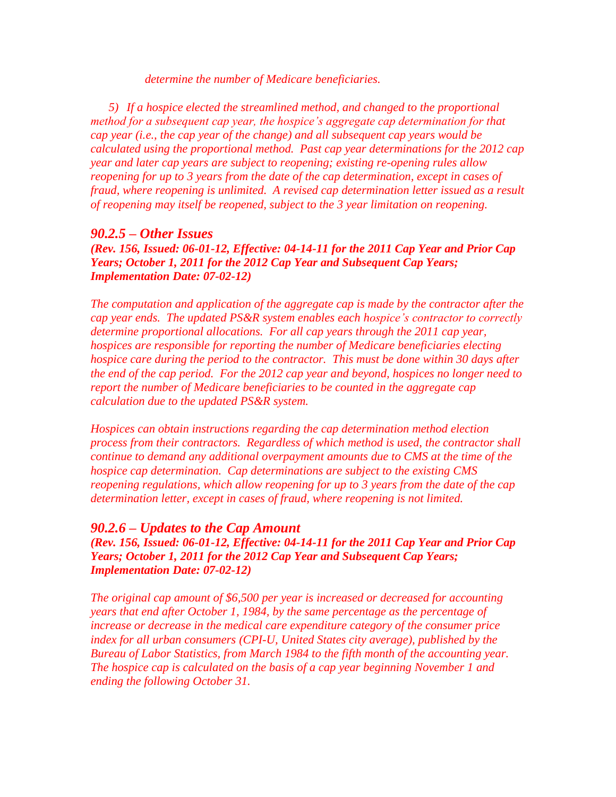#### *determine the number of Medicare beneficiaries.*

*5) If a hospice elected the streamlined method, and changed to the proportional method for a subsequent cap year, the hospice's aggregate cap determination for that cap year (i.e., the cap year of the change) and all subsequent cap years would be calculated using the proportional method. Past cap year determinations for the 2012 cap year and later cap years are subject to reopening; existing re-opening rules allow reopening for up to 3 years from the date of the cap determination, except in cases of fraud, where reopening is unlimited. A revised cap determination letter issued as a result of reopening may itself be reopened, subject to the 3 year limitation on reopening.*

#### <span id="page-42-0"></span>*90.2.5 – Other Issues*

*(Rev. 156, Issued: 06-01-12, Effective: 04-14-11 for the 2011 Cap Year and Prior Cap Years; October 1, 2011 for the 2012 Cap Year and Subsequent Cap Years; Implementation Date: 07-02-12)*

*The computation and application of the aggregate cap is made by the contractor after the cap year ends. The updated PS&R system enables each hospice's contractor to correctly determine proportional allocations. For all cap years through the 2011 cap year, hospices are responsible for reporting the number of Medicare beneficiaries electing hospice care during the period to the contractor. This must be done within 30 days after the end of the cap period. For the 2012 cap year and beyond, hospices no longer need to report the number of Medicare beneficiaries to be counted in the aggregate cap calculation due to the updated PS&R system.*

*Hospices can obtain instructions regarding the cap determination method election process from their contractors. Regardless of which method is used, the contractor shall continue to demand any additional overpayment amounts due to CMS at the time of the hospice cap determination. Cap determinations are subject to the existing CMS reopening regulations, which allow reopening for up to 3 years from the date of the cap determination letter, except in cases of fraud, where reopening is not limited.*

#### <span id="page-42-1"></span>*90.2.6 – Updates to the Cap Amount*

*(Rev. 156, Issued: 06-01-12, Effective: 04-14-11 for the 2011 Cap Year and Prior Cap Years; October 1, 2011 for the 2012 Cap Year and Subsequent Cap Years; Implementation Date: 07-02-12)*

*The original cap amount of \$6,500 per year is increased or decreased for accounting years that end after October 1, 1984, by the same percentage as the percentage of increase or decrease in the medical care expenditure category of the consumer price index for all urban consumers (CPI-U, United States city average), published by the Bureau of Labor Statistics, from March 1984 to the fifth month of the accounting year. The hospice cap is calculated on the basis of a cap year beginning November 1 and ending the following October 31.*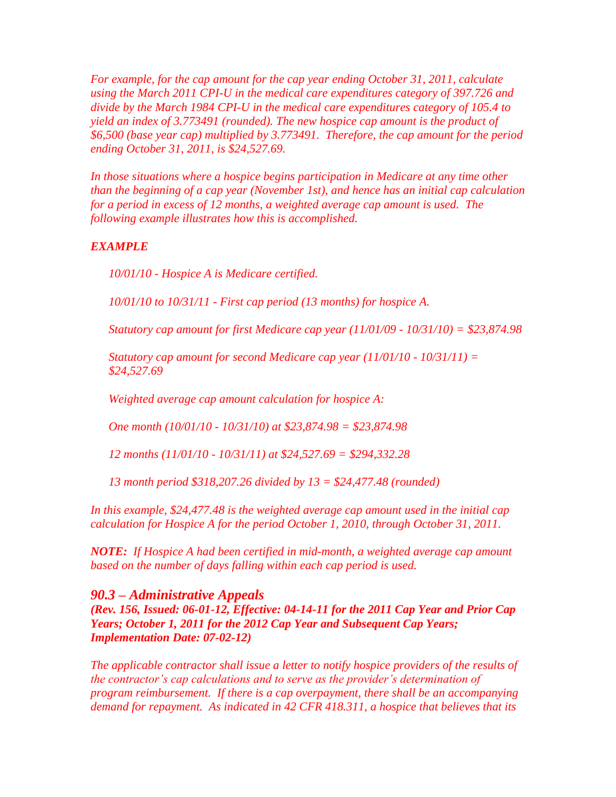*For example, for the cap amount for the cap year ending October 31, 2011, calculate using the March 2011 CPI-U in the medical care expenditures category of 397.726 and divide by the March 1984 CPI-U in the medical care expenditures category of 105.4 to yield an index of 3.773491 (rounded). The new hospice cap amount is the product of \$6,500 (base year cap) multiplied by 3.773491. Therefore, the cap amount for the period ending October 31, 2011, is \$24,527.69.*

*In those situations where a hospice begins participation in Medicare at any time other than the beginning of a cap year (November 1st), and hence has an initial cap calculation for a period in excess of 12 months, a weighted average cap amount is used. The following example illustrates how this is accomplished.*

#### *EXAMPLE*

*10/01/10 - Hospice A is Medicare certified.*

*10/01/10 to 10/31/11 - First cap period (13 months) for hospice A.*

*Statutory cap amount for first Medicare cap year (11/01/09 - 10/31/10) = \$23,874.98*

*Statutory cap amount for second Medicare cap year (11/01/10 - 10/31/11) = \$24,527.69*

*Weighted average cap amount calculation for hospice A:*

*One month (10/01/10 - 10/31/10) at \$23,874.98 = \$23,874.98*

*12 months (11/01/10 - 10/31/11) at \$24,527.69 = \$294,332.28*

*13 month period \$318,207.26 divided by 13 = \$24,477.48 (rounded)*

*In this example, \$24,477.48 is the weighted average cap amount used in the initial cap calculation for Hospice A for the period October 1, 2010, through October 31, 2011.*

*NOTE: If Hospice A had been certified in mid-month, a weighted average cap amount based on the number of days falling within each cap period is used.*

#### <span id="page-43-0"></span>*90.3 – Administrative Appeals*

*(Rev. 156, Issued: 06-01-12, Effective: 04-14-11 for the 2011 Cap Year and Prior Cap Years; October 1, 2011 for the 2012 Cap Year and Subsequent Cap Years; Implementation Date: 07-02-12)*

*The applicable contractor shall issue a letter to notify hospice providers of the results of the contractor's cap calculations and to serve as the provider's determination of program reimbursement. If there is a cap overpayment, there shall be an accompanying demand for repayment. As indicated in 42 CFR 418.311, a hospice that believes that its*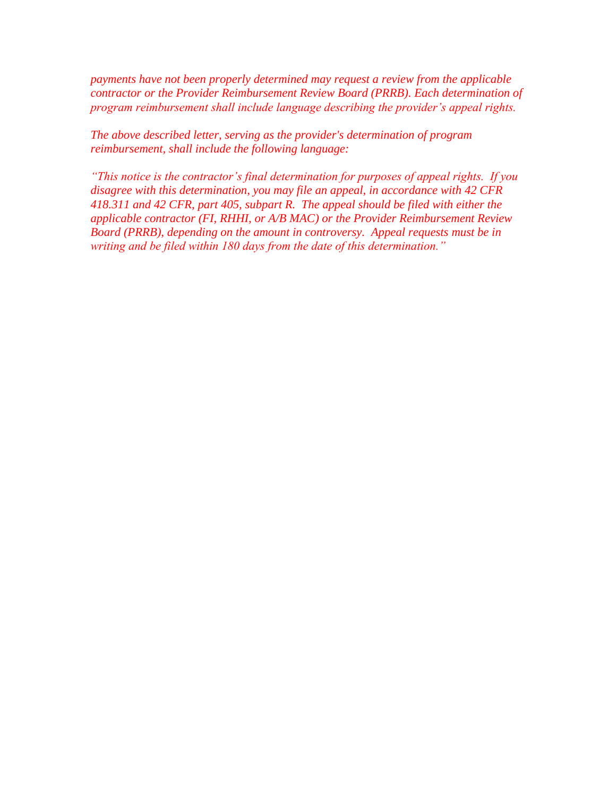*payments have not been properly determined may request a review from the applicable contractor or the Provider Reimbursement Review Board (PRRB). Each determination of program reimbursement shall include language describing the provider's appeal rights.*

*The above described letter, serving as the provider's determination of program reimbursement, shall include the following language:*

*―This notice is the contractor's final determination for purposes of appeal rights. If you disagree with this determination, you may file an appeal, in accordance with 42 CFR 418.311 and 42 CFR, part 405, subpart R. The appeal should be filed with either the applicable contractor (FI, RHHI, or A/B MAC) or the Provider Reimbursement Review Board (PRRB), depending on the amount in controversy. Appeal requests must be in writing and be filed within 180 days from the date of this determination.‖*